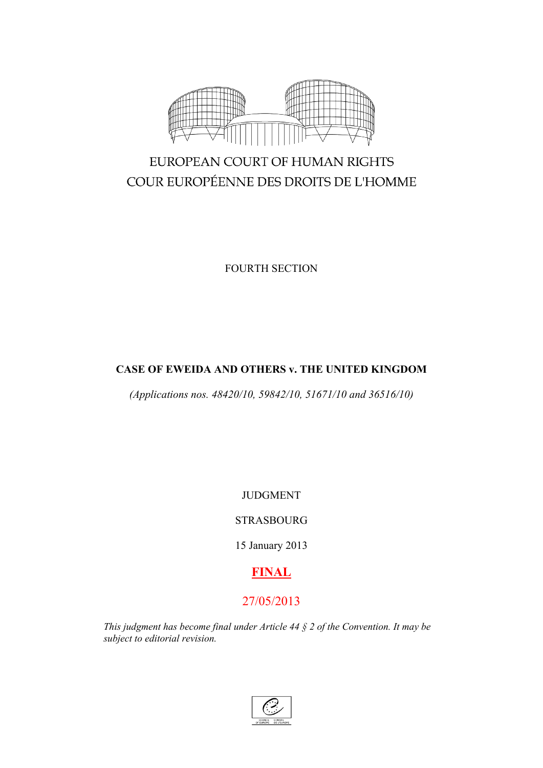

# EUROPEAN COURT OF HUMAN RIGHTS COUR EUROPÉENNE DES DROITS DE L'HOMME

FOURTH SECTION

## **CASE OF EWEIDA AND OTHERS v. THE UNITED KINGDOM**

*(Applications nos. 48420/10, 59842/10, 51671/10 and 36516/10)*

**JUDGMENT** 

STRASBOURG

15 January 2013

## **FINAL**

## 27/05/2013

*This judgment has become final under Article 44 § 2 of the Convention. It may be subject to editorial revision.*

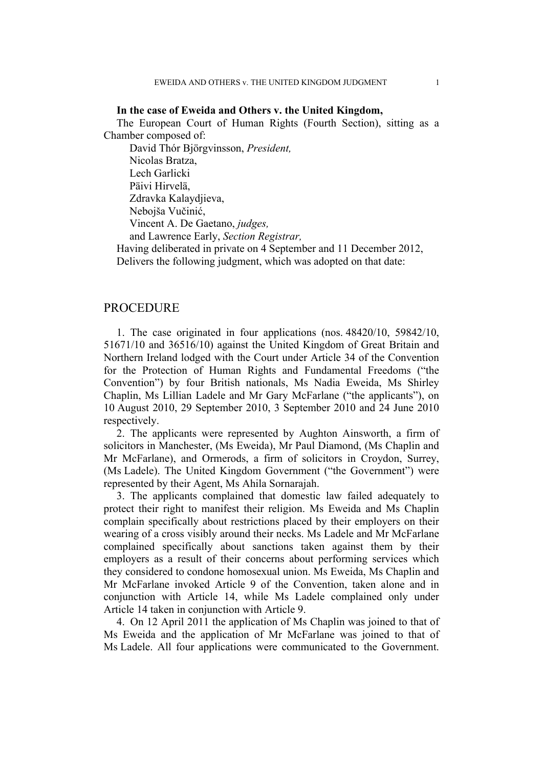### **In the case of Eweida and Others v. the United Kingdom,**

The European Court of Human Rights (Fourth Section), sitting as a Chamber composed of:

David Thór Björgvinsson, *President,* Nicolas Bratza, Lech Garlicki Päivi Hirvelä, Zdravka Kalaydjieva, Nebojša Vučinić, Vincent A. De Gaetano, *judges,* and Lawrence Early, *Section Registrar,*

Having deliberated in private on 4 September and 11 December 2012, Delivers the following judgment, which was adopted on that date:

## **PROCEDURE**

1. The case originated in four applications (nos. 48420/10, 59842/10, 51671/10 and 36516/10) against the United Kingdom of Great Britain and Northern Ireland lodged with the Court under Article 34 of the Convention for the Protection of Human Rights and Fundamental Freedoms ("the Convention") by four British nationals, Ms Nadia Eweida, Ms Shirley Chaplin, Ms Lillian Ladele and Mr Gary McFarlane ("the applicants"), on 10 August 2010, 29 September 2010, 3 September 2010 and 24 June 2010 respectively.

2. The applicants were represented by Aughton Ainsworth, a firm of solicitors in Manchester, (Ms Eweida), Mr Paul Diamond, (Ms Chaplin and Mr McFarlane), and Ormerods, a firm of solicitors in Croydon, Surrey, (Ms Ladele). The United Kingdom Government ("the Government") were represented by their Agent, Ms Ahila Sornarajah.

3. The applicants complained that domestic law failed adequately to protect their right to manifest their religion. Ms Eweida and Ms Chaplin complain specifically about restrictions placed by their employers on their wearing of a cross visibly around their necks. Ms Ladele and Mr McFarlane complained specifically about sanctions taken against them by their employers as a result of their concerns about performing services which they considered to condone homosexual union. Ms Eweida, Ms Chaplin and Mr McFarlane invoked Article 9 of the Convention, taken alone and in conjunction with Article 14, while Ms Ladele complained only under Article 14 taken in conjunction with Article 9.

4. On 12 April 2011 the application of Ms Chaplin was joined to that of Ms Eweida and the application of Mr McFarlane was joined to that of Ms Ladele. All four applications were communicated to the Government.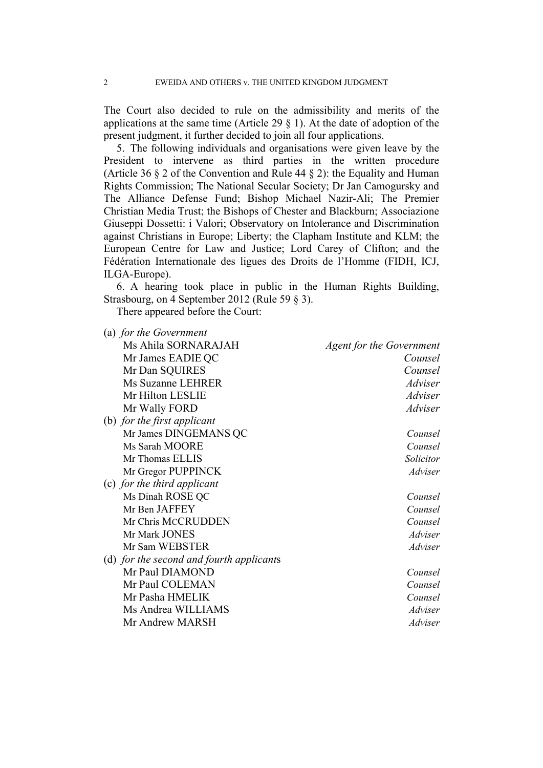The Court also decided to rule on the admissibility and merits of the applications at the same time (Article 29 § 1). At the date of adoption of the present judgment, it further decided to join all four applications.

5. The following individuals and organisations were given leave by the President to intervene as third parties in the written procedure (Article 36 § 2 of the Convention and Rule 44 § 2): the Equality and Human Rights Commission; The National Secular Society; Dr Jan Camogursky and The Alliance Defense Fund; Bishop Michael Nazir-Ali; The Premier Christian Media Trust; the Bishops of Chester and Blackburn; Associazione Giuseppi Dossetti: i Valori; Observatory on Intolerance and Discrimination against Christians in Europe; Liberty; the Clapham Institute and KLM; the European Centre for Law and Justice; Lord Carey of Clifton; and the Fédération Internationale des ligues des Droits de l'Homme (FIDH, ICJ, ILGA-Europe).

6. A hearing took place in public in the Human Rights Building, Strasbourg, on 4 September 2012 (Rule 59 § 3).

There appeared before the Court:

| (a) for the Government                   |                          |
|------------------------------------------|--------------------------|
| Ms Ahila SORNARAJAH                      | Agent for the Government |
| Mr James EADIE QC                        | Counsel                  |
| Mr Dan SQUIRES                           | Counsel                  |
| Ms Suzanne LEHRER                        | Adviser                  |
| Mr Hilton LESLIE                         | Adviser                  |
| Mr Wally FORD                            | Adviser                  |
| (b) for the first applicant              |                          |
| Mr James DINGEMANS QC                    | Counsel                  |
| Ms Sarah MOORE                           | Counsel                  |
| Mr Thomas ELLIS                          | Solicitor                |
| Mr Gregor PUPPINCK                       | Adviser                  |
| $(c)$ for the third applicant            |                          |
| Ms Dinah ROSE QC                         | Counsel                  |
| Mr Ben JAFFEY                            | Counsel                  |
| Mr Chris MCCRUDDEN                       | Counsel                  |
| Mr Mark JONES                            | Adviser                  |
| Mr Sam WEBSTER                           | Adviser                  |
| (d) for the second and fourth applicants |                          |
| Mr Paul DIAMOND                          | Counsel                  |
| Mr Paul COLEMAN                          | Counsel                  |
| Mr Pasha HMELIK                          | Counsel                  |
| Ms Andrea WILLIAMS                       | Adviser                  |
| Mr Andrew MARSH                          | Adviser                  |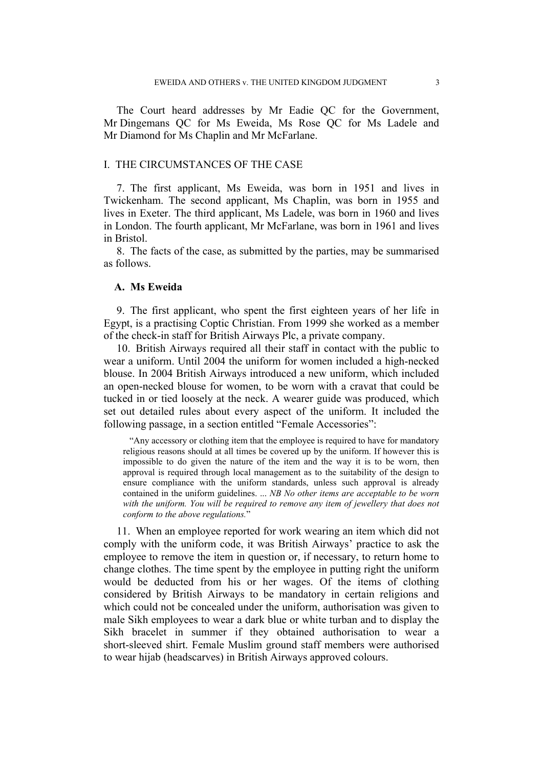The Court heard addresses by Mr Eadie QC for the Government, Mr Dingemans QC for Ms Eweida, Ms Rose QC for Ms Ladele and Mr Diamond for Ms Chaplin and Mr McFarlane.

## I. THE CIRCUMSTANCES OF THE CASE

7. The first applicant, Ms Eweida, was born in 1951 and lives in Twickenham. The second applicant, Ms Chaplin, was born in 1955 and lives in Exeter. The third applicant, Ms Ladele, was born in 1960 and lives in London. The fourth applicant, Mr McFarlane, was born in 1961 and lives in Bristol.

8. The facts of the case, as submitted by the parties, may be summarised as follows.

## **A. Ms Eweida**

9. The first applicant, who spent the first eighteen years of her life in Egypt, is a practising Coptic Christian. From 1999 she worked as a member of the check-in staff for British Airways Plc, a private company.

10. British Airways required all their staff in contact with the public to wear a uniform. Until 2004 the uniform for women included a high-necked blouse. In 2004 British Airways introduced a new uniform, which included an open-necked blouse for women, to be worn with a cravat that could be tucked in or tied loosely at the neck. A wearer guide was produced, which set out detailed rules about every aspect of the uniform. It included the following passage, in a section entitled "Female Accessories":

"Any accessory or clothing item that the employee is required to have for mandatory religious reasons should at all times be covered up by the uniform. If however this is impossible to do given the nature of the item and the way it is to be worn, then approval is required through local management as to the suitability of the design to ensure compliance with the uniform standards, unless such approval is already contained in the uniform guidelines. ... *NB No other items are acceptable to be worn*  with the uniform. You will be required to remove any item of jewellery that does not *conform to the above regulations.*"

11. When an employee reported for work wearing an item which did not comply with the uniform code, it was British Airways' practice to ask the employee to remove the item in question or, if necessary, to return home to change clothes. The time spent by the employee in putting right the uniform would be deducted from his or her wages. Of the items of clothing considered by British Airways to be mandatory in certain religions and which could not be concealed under the uniform, authorisation was given to male Sikh employees to wear a dark blue or white turban and to display the Sikh bracelet in summer if they obtained authorisation to wear a short-sleeved shirt. Female Muslim ground staff members were authorised to wear hijab (headscarves) in British Airways approved colours.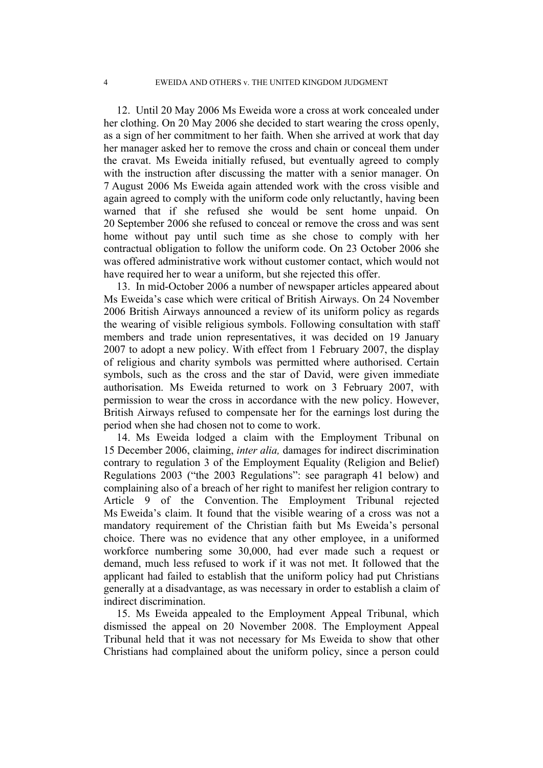12. Until 20 May 2006 Ms Eweida wore a cross at work concealed under her clothing. On 20 May 2006 she decided to start wearing the cross openly, as a sign of her commitment to her faith. When she arrived at work that day her manager asked her to remove the cross and chain or conceal them under the cravat. Ms Eweida initially refused, but eventually agreed to comply with the instruction after discussing the matter with a senior manager. On 7 August 2006 Ms Eweida again attended work with the cross visible and again agreed to comply with the uniform code only reluctantly, having been warned that if she refused she would be sent home unpaid. On 20 September 2006 she refused to conceal or remove the cross and was sent home without pay until such time as she chose to comply with her contractual obligation to follow the uniform code. On 23 October 2006 she was offered administrative work without customer contact, which would not have required her to wear a uniform, but she rejected this offer.

13. In mid-October 2006 a number of newspaper articles appeared about Ms Eweida's case which were critical of British Airways. On 24 November 2006 British Airways announced a review of its uniform policy as regards the wearing of visible religious symbols. Following consultation with staff members and trade union representatives, it was decided on 19 January 2007 to adopt a new policy. With effect from 1 February 2007, the display of religious and charity symbols was permitted where authorised. Certain symbols, such as the cross and the star of David, were given immediate authorisation. Ms Eweida returned to work on 3 February 2007, with permission to wear the cross in accordance with the new policy. However, British Airways refused to compensate her for the earnings lost during the period when she had chosen not to come to work.

14. Ms Eweida lodged a claim with the Employment Tribunal on 15 December 2006, claiming, *inter alia,* damages for indirect discrimination contrary to regulation 3 of the Employment Equality (Religion and Belief) Regulations 2003 ("the 2003 Regulations": see paragraph 41 below) and complaining also of a breach of her right to manifest her religion contrary to Article 9 of the Convention. The Employment Tribunal rejected Ms Eweida's claim. It found that the visible wearing of a cross was not a mandatory requirement of the Christian faith but Ms Eweida's personal choice. There was no evidence that any other employee, in a uniformed workforce numbering some 30,000, had ever made such a request or demand, much less refused to work if it was not met. It followed that the applicant had failed to establish that the uniform policy had put Christians generally at a disadvantage, as was necessary in order to establish a claim of indirect discrimination.

15. Ms Eweida appealed to the Employment Appeal Tribunal, which dismissed the appeal on 20 November 2008. The Employment Appeal Tribunal held that it was not necessary for Ms Eweida to show that other Christians had complained about the uniform policy, since a person could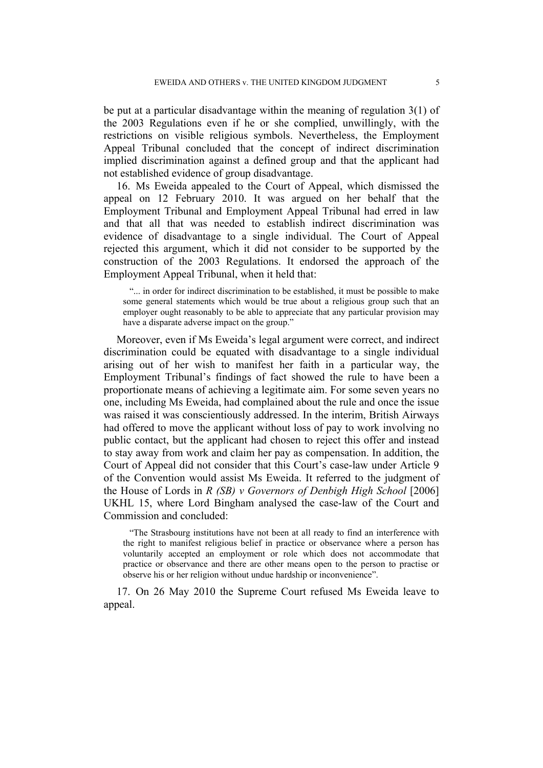be put at a particular disadvantage within the meaning of regulation 3(1) of the 2003 Regulations even if he or she complied, unwillingly, with the restrictions on visible religious symbols. Nevertheless, the Employment Appeal Tribunal concluded that the concept of indirect discrimination implied discrimination against a defined group and that the applicant had not established evidence of group disadvantage.

16. Ms Eweida appealed to the Court of Appeal, which dismissed the appeal on 12 February 2010. It was argued on her behalf that the Employment Tribunal and Employment Appeal Tribunal had erred in law and that all that was needed to establish indirect discrimination was evidence of disadvantage to a single individual. The Court of Appeal rejected this argument, which it did not consider to be supported by the construction of the 2003 Regulations. It endorsed the approach of the Employment Appeal Tribunal, when it held that:

"... in order for indirect discrimination to be established, it must be possible to make some general statements which would be true about a religious group such that an employer ought reasonably to be able to appreciate that any particular provision may have a disparate adverse impact on the group."

Moreover, even if Ms Eweida's legal argument were correct, and indirect discrimination could be equated with disadvantage to a single individual arising out of her wish to manifest her faith in a particular way, the Employment Tribunal's findings of fact showed the rule to have been a proportionate means of achieving a legitimate aim. For some seven years no one, including Ms Eweida, had complained about the rule and once the issue was raised it was conscientiously addressed. In the interim, British Airways had offered to move the applicant without loss of pay to work involving no public contact, but the applicant had chosen to reject this offer and instead to stay away from work and claim her pay as compensation. In addition, the Court of Appeal did not consider that this Court's case-law under Article 9 of the Convention would assist Ms Eweida. It referred to the judgment of the House of Lords in *R (SB) v Governors of Denbigh High School* [2006] UKHL 15, where Lord Bingham analysed the case-law of the Court and Commission and concluded:

"The Strasbourg institutions have not been at all ready to find an interference with the right to manifest religious belief in practice or observance where a person has voluntarily accepted an employment or role which does not accommodate that practice or observance and there are other means open to the person to practise or observe his or her religion without undue hardship or inconvenience".

17. On 26 May 2010 the Supreme Court refused Ms Eweida leave to appeal.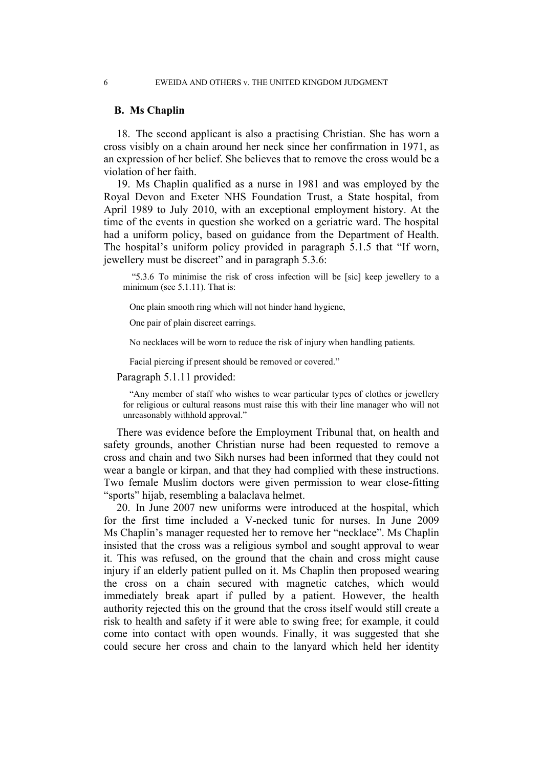#### 6 EWEIDA AND OTHERS v. THE UNITED KINGDOM JUDGMENT

### **B. Ms Chaplin**

18. The second applicant is also a practising Christian. She has worn a cross visibly on a chain around her neck since her confirmation in 1971, as an expression of her belief. She believes that to remove the cross would be a violation of her faith.

19. Ms Chaplin qualified as a nurse in 1981 and was employed by the Royal Devon and Exeter NHS Foundation Trust, a State hospital, from April 1989 to July 2010, with an exceptional employment history. At the time of the events in question she worked on a geriatric ward. The hospital had a uniform policy, based on guidance from the Department of Health. The hospital's uniform policy provided in paragraph 5.1.5 that "If worn, jewellery must be discreet" and in paragraph 5.3.6:

 "5.3.6 To minimise the risk of cross infection will be [sic] keep jewellery to a minimum (see 5.1.11). That is:

One plain smooth ring which will not hinder hand hygiene,

One pair of plain discreet earrings.

No necklaces will be worn to reduce the risk of injury when handling patients.

Facial piercing if present should be removed or covered."

#### Paragraph 5.1.11 provided:

"Any member of staff who wishes to wear particular types of clothes or jewellery for religious or cultural reasons must raise this with their line manager who will not unreasonably withhold approval."

There was evidence before the Employment Tribunal that, on health and safety grounds, another Christian nurse had been requested to remove a cross and chain and two Sikh nurses had been informed that they could not wear a bangle or kirpan, and that they had complied with these instructions. Two female Muslim doctors were given permission to wear close-fitting "sports" hijab, resembling a balaclava helmet.

20. In June 2007 new uniforms were introduced at the hospital, which for the first time included a V-necked tunic for nurses. In June 2009 Ms Chaplin's manager requested her to remove her "necklace". Ms Chaplin insisted that the cross was a religious symbol and sought approval to wear it. This was refused, on the ground that the chain and cross might cause injury if an elderly patient pulled on it. Ms Chaplin then proposed wearing the cross on a chain secured with magnetic catches, which would immediately break apart if pulled by a patient. However, the health authority rejected this on the ground that the cross itself would still create a risk to health and safety if it were able to swing free; for example, it could come into contact with open wounds. Finally, it was suggested that she could secure her cross and chain to the lanyard which held her identity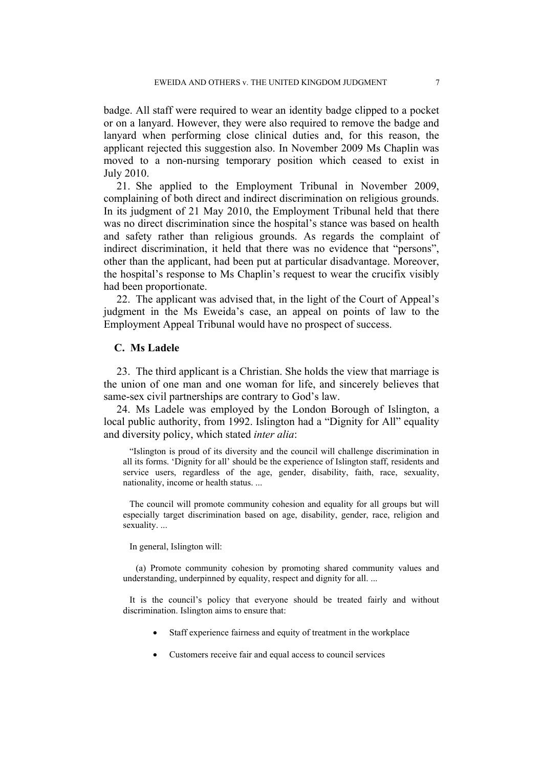badge. All staff were required to wear an identity badge clipped to a pocket or on a lanyard. However, they were also required to remove the badge and lanyard when performing close clinical duties and, for this reason, the applicant rejected this suggestion also. In November 2009 Ms Chaplin was moved to a non-nursing temporary position which ceased to exist in July 2010.

21. She applied to the Employment Tribunal in November 2009, complaining of both direct and indirect discrimination on religious grounds. In its judgment of 21 May 2010, the Employment Tribunal held that there was no direct discrimination since the hospital's stance was based on health and safety rather than religious grounds. As regards the complaint of indirect discrimination, it held that there was no evidence that "persons", other than the applicant, had been put at particular disadvantage. Moreover, the hospital's response to Ms Chaplin's request to wear the crucifix visibly had been proportionate.

22. The applicant was advised that, in the light of the Court of Appeal's judgment in the Ms Eweida's case, an appeal on points of law to the Employment Appeal Tribunal would have no prospect of success.

### **C. Ms Ladele**

23. The third applicant is a Christian. She holds the view that marriage is the union of one man and one woman for life, and sincerely believes that same-sex civil partnerships are contrary to God's law.

24. Ms Ladele was employed by the London Borough of Islington, a local public authority, from 1992. Islington had a "Dignity for All" equality and diversity policy, which stated *inter alia*:

"Islington is proud of its diversity and the council will challenge discrimination in all its forms. 'Dignity for all' should be the experience of Islington staff, residents and service users, regardless of the age, gender, disability, faith, race, sexuality, nationality, income or health status. ...

The council will promote community cohesion and equality for all groups but will especially target discrimination based on age, disability, gender, race, religion and sexuality. ...

In general, Islington will:

(a) Promote community cohesion by promoting shared community values and understanding, underpinned by equality, respect and dignity for all. ...

It is the council's policy that everyone should be treated fairly and without discrimination. Islington aims to ensure that:

- Staff experience fairness and equity of treatment in the workplace
- Customers receive fair and equal access to council services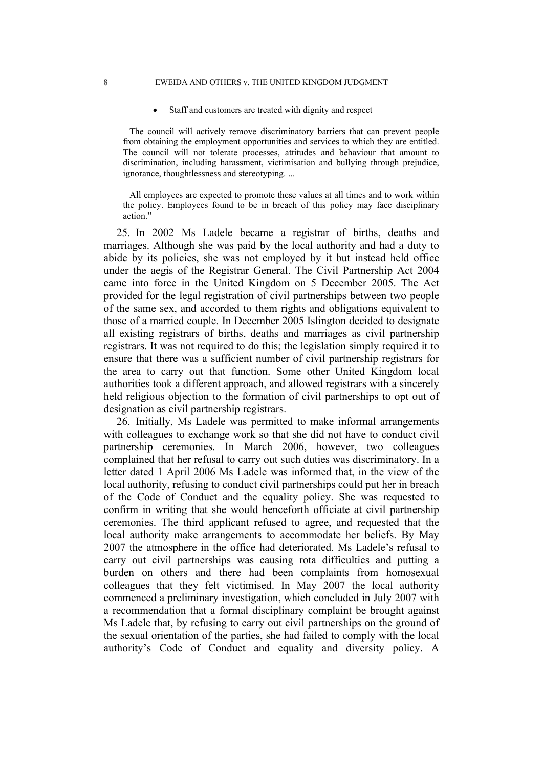#### 8 EWEIDA AND OTHERS v. THE UNITED KINGDOM JUDGMENT

Staff and customers are treated with dignity and respect

The council will actively remove discriminatory barriers that can prevent people from obtaining the employment opportunities and services to which they are entitled. The council will not tolerate processes, attitudes and behaviour that amount to discrimination, including harassment, victimisation and bullying through prejudice, ignorance, thoughtlessness and stereotyping. ...

All employees are expected to promote these values at all times and to work within the policy. Employees found to be in breach of this policy may face disciplinary action."

25. In 2002 Ms Ladele became a registrar of births, deaths and marriages. Although she was paid by the local authority and had a duty to abide by its policies, she was not employed by it but instead held office under the aegis of the Registrar General. The Civil Partnership Act 2004 came into force in the United Kingdom on 5 December 2005. The Act provided for the legal registration of civil partnerships between two people of the same sex, and accorded to them rights and obligations equivalent to those of a married couple. In December 2005 Islington decided to designate all existing registrars of births, deaths and marriages as civil partnership registrars. It was not required to do this; the legislation simply required it to ensure that there was a sufficient number of civil partnership registrars for the area to carry out that function. Some other United Kingdom local authorities took a different approach, and allowed registrars with a sincerely held religious objection to the formation of civil partnerships to opt out of designation as civil partnership registrars.

26. Initially, Ms Ladele was permitted to make informal arrangements with colleagues to exchange work so that she did not have to conduct civil partnership ceremonies. In March 2006, however, two colleagues complained that her refusal to carry out such duties was discriminatory. In a letter dated 1 April 2006 Ms Ladele was informed that, in the view of the local authority, refusing to conduct civil partnerships could put her in breach of the Code of Conduct and the equality policy. She was requested to confirm in writing that she would henceforth officiate at civil partnership ceremonies. The third applicant refused to agree, and requested that the local authority make arrangements to accommodate her beliefs. By May 2007 the atmosphere in the office had deteriorated. Ms Ladele's refusal to carry out civil partnerships was causing rota difficulties and putting a burden on others and there had been complaints from homosexual colleagues that they felt victimised. In May 2007 the local authority commenced a preliminary investigation, which concluded in July 2007 with a recommendation that a formal disciplinary complaint be brought against Ms Ladele that, by refusing to carry out civil partnerships on the ground of the sexual orientation of the parties, she had failed to comply with the local authority's Code of Conduct and equality and diversity policy. A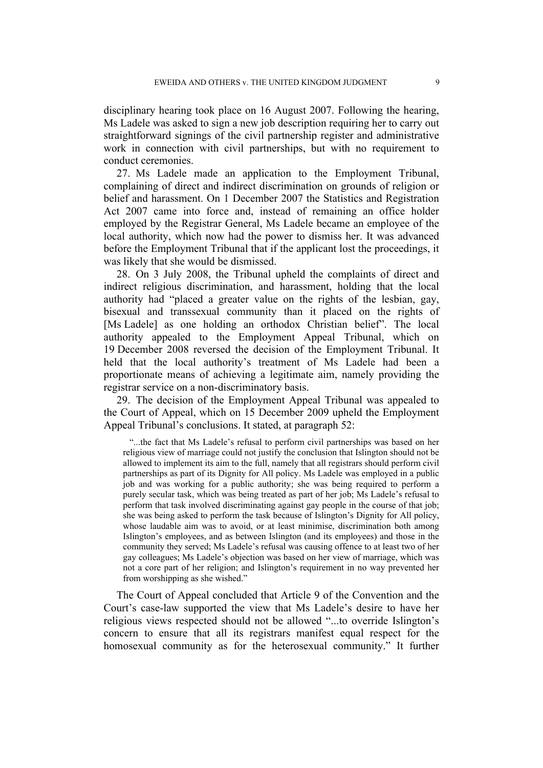disciplinary hearing took place on 16 August 2007. Following the hearing, Ms Ladele was asked to sign a new job description requiring her to carry out straightforward signings of the civil partnership register and administrative work in connection with civil partnerships, but with no requirement to conduct ceremonies.

27. Ms Ladele made an application to the Employment Tribunal, complaining of direct and indirect discrimination on grounds of religion or belief and harassment. On 1 December 2007 the Statistics and Registration Act 2007 came into force and, instead of remaining an office holder employed by the Registrar General, Ms Ladele became an employee of the local authority, which now had the power to dismiss her. It was advanced before the Employment Tribunal that if the applicant lost the proceedings, it was likely that she would be dismissed.

28. On 3 July 2008, the Tribunal upheld the complaints of direct and indirect religious discrimination, and harassment, holding that the local authority had "placed a greater value on the rights of the lesbian, gay, bisexual and transsexual community than it placed on the rights of [Ms Ladele] as one holding an orthodox Christian belief". The local authority appealed to the Employment Appeal Tribunal, which on 19 December 2008 reversed the decision of the Employment Tribunal. It held that the local authority's treatment of Ms Ladele had been a proportionate means of achieving a legitimate aim, namely providing the registrar service on a non-discriminatory basis.

29. The decision of the Employment Appeal Tribunal was appealed to the Court of Appeal, which on 15 December 2009 upheld the Employment Appeal Tribunal's conclusions. It stated, at paragraph 52:

"...the fact that Ms Ladele's refusal to perform civil partnerships was based on her religious view of marriage could not justify the conclusion that Islington should not be allowed to implement its aim to the full, namely that all registrars should perform civil partnerships as part of its Dignity for All policy. Ms Ladele was employed in a public job and was working for a public authority; she was being required to perform a purely secular task, which was being treated as part of her job; Ms Ladele's refusal to perform that task involved discriminating against gay people in the course of that job; she was being asked to perform the task because of Islington's Dignity for All policy, whose laudable aim was to avoid, or at least minimise, discrimination both among Islington's employees, and as between Islington (and its employees) and those in the community they served; Ms Ladele's refusal was causing offence to at least two of her gay colleagues; Ms Ladele's objection was based on her view of marriage, which was not a core part of her religion; and Islington's requirement in no way prevented her from worshipping as she wished."

The Court of Appeal concluded that Article 9 of the Convention and the Court's case-law supported the view that Ms Ladele's desire to have her religious views respected should not be allowed "...to override Islington's concern to ensure that all its registrars manifest equal respect for the homosexual community as for the heterosexual community." It further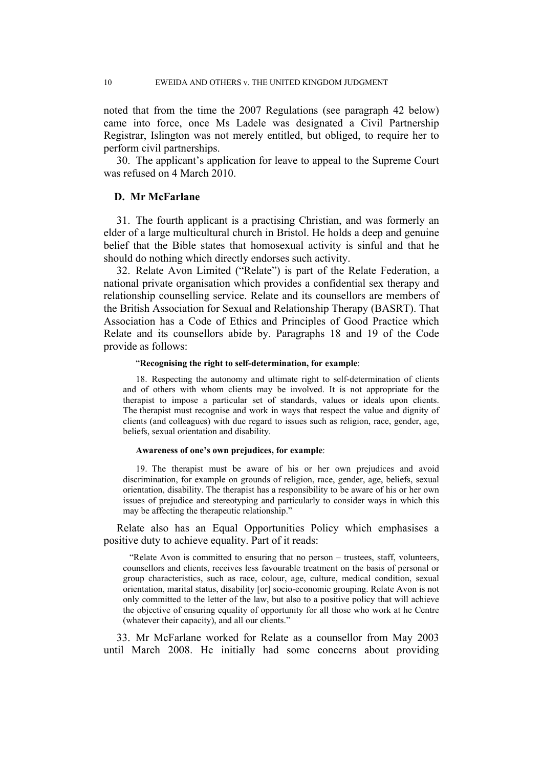noted that from the time the 2007 Regulations (see paragraph 42 below) came into force, once Ms Ladele was designated a Civil Partnership Registrar, Islington was not merely entitled, but obliged, to require her to perform civil partnerships.

30. The applicant's application for leave to appeal to the Supreme Court was refused on 4 March 2010.

## **D. Mr McFarlane**

31. The fourth applicant is a practising Christian, and was formerly an elder of a large multicultural church in Bristol. He holds a deep and genuine belief that the Bible states that homosexual activity is sinful and that he should do nothing which directly endorses such activity.

32. Relate Avon Limited ("Relate") is part of the Relate Federation, a national private organisation which provides a confidential sex therapy and relationship counselling service. Relate and its counsellors are members of the British Association for Sexual and Relationship Therapy (BASRT). That Association has a Code of Ethics and Principles of Good Practice which Relate and its counsellors abide by. Paragraphs 18 and 19 of the Code provide as follows:

#### "**Recognising the right to self-determination, for example**:

18. Respecting the autonomy and ultimate right to self-determination of clients and of others with whom clients may be involved. It is not appropriate for the therapist to impose a particular set of standards, values or ideals upon clients. The therapist must recognise and work in ways that respect the value and dignity of clients (and colleagues) with due regard to issues such as religion, race, gender, age, beliefs, sexual orientation and disability.

#### **Awareness of one's own prejudices, for example**:

19. The therapist must be aware of his or her own prejudices and avoid discrimination, for example on grounds of religion, race, gender, age, beliefs, sexual orientation, disability. The therapist has a responsibility to be aware of his or her own issues of prejudice and stereotyping and particularly to consider ways in which this may be affecting the therapeutic relationship."

Relate also has an Equal Opportunities Policy which emphasises a positive duty to achieve equality. Part of it reads:

"Relate Avon is committed to ensuring that no person – trustees, staff, volunteers, counsellors and clients, receives less favourable treatment on the basis of personal or group characteristics, such as race, colour, age, culture, medical condition, sexual orientation, marital status, disability [or] socio-economic grouping. Relate Avon is not only committed to the letter of the law, but also to a positive policy that will achieve the objective of ensuring equality of opportunity for all those who work at he Centre (whatever their capacity), and all our clients."

33. Mr McFarlane worked for Relate as a counsellor from May 2003 until March 2008. He initially had some concerns about providing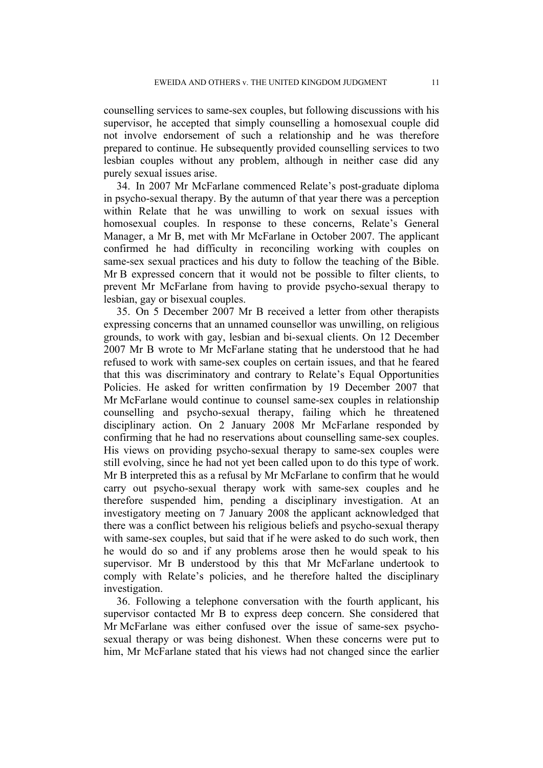counselling services to same-sex couples, but following discussions with his supervisor, he accepted that simply counselling a homosexual couple did not involve endorsement of such a relationship and he was therefore prepared to continue. He subsequently provided counselling services to two lesbian couples without any problem, although in neither case did any purely sexual issues arise.

34. In 2007 Mr McFarlane commenced Relate's post-graduate diploma in psycho-sexual therapy. By the autumn of that year there was a perception within Relate that he was unwilling to work on sexual issues with homosexual couples. In response to these concerns, Relate's General Manager, a Mr B, met with Mr McFarlane in October 2007. The applicant confirmed he had difficulty in reconciling working with couples on same-sex sexual practices and his duty to follow the teaching of the Bible. Mr B expressed concern that it would not be possible to filter clients, to prevent Mr McFarlane from having to provide psycho-sexual therapy to lesbian, gay or bisexual couples.

35. On 5 December 2007 Mr B received a letter from other therapists expressing concerns that an unnamed counsellor was unwilling, on religious grounds, to work with gay, lesbian and bi-sexual clients. On 12 December 2007 Mr B wrote to Mr McFarlane stating that he understood that he had refused to work with same-sex couples on certain issues, and that he feared that this was discriminatory and contrary to Relate's Equal Opportunities Policies. He asked for written confirmation by 19 December 2007 that Mr McFarlane would continue to counsel same-sex couples in relationship counselling and psycho-sexual therapy, failing which he threatened disciplinary action. On 2 January 2008 Mr McFarlane responded by confirming that he had no reservations about counselling same-sex couples. His views on providing psycho-sexual therapy to same-sex couples were still evolving, since he had not yet been called upon to do this type of work. Mr B interpreted this as a refusal by Mr McFarlane to confirm that he would carry out psycho-sexual therapy work with same-sex couples and he therefore suspended him, pending a disciplinary investigation. At an investigatory meeting on 7 January 2008 the applicant acknowledged that there was a conflict between his religious beliefs and psycho-sexual therapy with same-sex couples, but said that if he were asked to do such work, then he would do so and if any problems arose then he would speak to his supervisor. Mr B understood by this that Mr McFarlane undertook to comply with Relate's policies, and he therefore halted the disciplinary investigation.

36. Following a telephone conversation with the fourth applicant, his supervisor contacted Mr B to express deep concern. She considered that Mr McFarlane was either confused over the issue of same-sex psychosexual therapy or was being dishonest. When these concerns were put to him, Mr McFarlane stated that his views had not changed since the earlier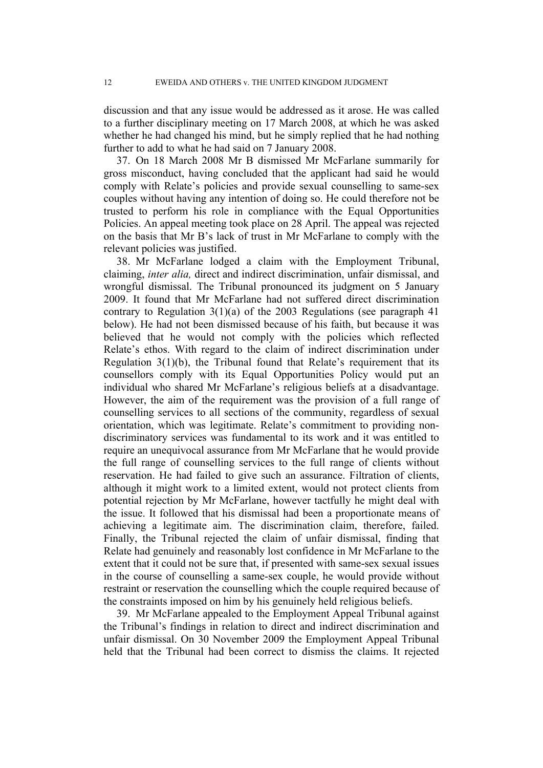discussion and that any issue would be addressed as it arose. He was called to a further disciplinary meeting on 17 March 2008, at which he was asked whether he had changed his mind, but he simply replied that he had nothing further to add to what he had said on 7 January 2008.

37. On 18 March 2008 Mr B dismissed Mr McFarlane summarily for gross misconduct, having concluded that the applicant had said he would comply with Relate's policies and provide sexual counselling to same-sex couples without having any intention of doing so. He could therefore not be trusted to perform his role in compliance with the Equal Opportunities Policies. An appeal meeting took place on 28 April. The appeal was rejected on the basis that Mr B's lack of trust in Mr McFarlane to comply with the relevant policies was justified.

38. Mr McFarlane lodged a claim with the Employment Tribunal, claiming, *inter alia,* direct and indirect discrimination, unfair dismissal, and wrongful dismissal. The Tribunal pronounced its judgment on 5 January 2009. It found that Mr McFarlane had not suffered direct discrimination contrary to Regulation 3(1)(a) of the 2003 Regulations (see paragraph 41 below). He had not been dismissed because of his faith, but because it was believed that he would not comply with the policies which reflected Relate's ethos. With regard to the claim of indirect discrimination under Regulation 3(1)(b), the Tribunal found that Relate's requirement that its counsellors comply with its Equal Opportunities Policy would put an individual who shared Mr McFarlane's religious beliefs at a disadvantage. However, the aim of the requirement was the provision of a full range of counselling services to all sections of the community, regardless of sexual orientation, which was legitimate. Relate's commitment to providing nondiscriminatory services was fundamental to its work and it was entitled to require an unequivocal assurance from Mr McFarlane that he would provide the full range of counselling services to the full range of clients without reservation. He had failed to give such an assurance. Filtration of clients, although it might work to a limited extent, would not protect clients from potential rejection by Mr McFarlane, however tactfully he might deal with the issue. It followed that his dismissal had been a proportionate means of achieving a legitimate aim. The discrimination claim, therefore, failed. Finally, the Tribunal rejected the claim of unfair dismissal, finding that Relate had genuinely and reasonably lost confidence in Mr McFarlane to the extent that it could not be sure that, if presented with same-sex sexual issues in the course of counselling a same-sex couple, he would provide without restraint or reservation the counselling which the couple required because of the constraints imposed on him by his genuinely held religious beliefs.

39. Mr McFarlane appealed to the Employment Appeal Tribunal against the Tribunal's findings in relation to direct and indirect discrimination and unfair dismissal. On 30 November 2009 the Employment Appeal Tribunal held that the Tribunal had been correct to dismiss the claims. It rejected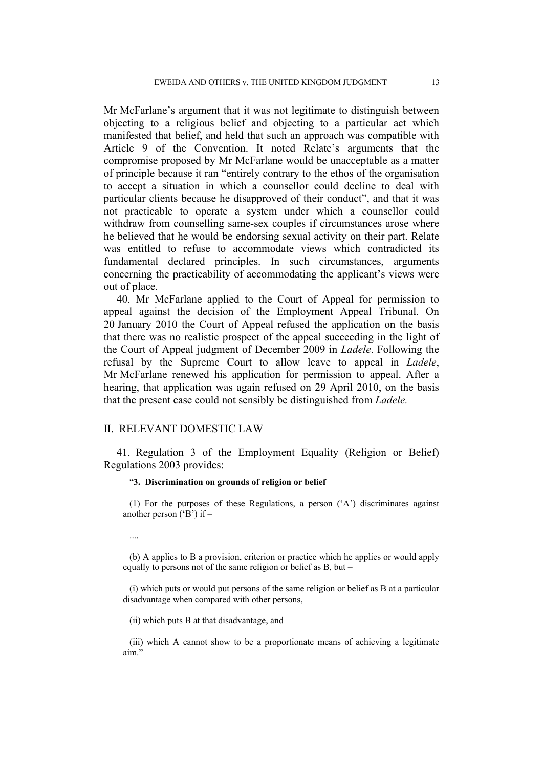Mr McFarlane's argument that it was not legitimate to distinguish between objecting to a religious belief and objecting to a particular act which manifested that belief, and held that such an approach was compatible with Article 9 of the Convention. It noted Relate's arguments that the compromise proposed by Mr McFarlane would be unacceptable as a matter of principle because it ran "entirely contrary to the ethos of the organisation to accept a situation in which a counsellor could decline to deal with particular clients because he disapproved of their conduct", and that it was not practicable to operate a system under which a counsellor could withdraw from counselling same-sex couples if circumstances arose where he believed that he would be endorsing sexual activity on their part. Relate was entitled to refuse to accommodate views which contradicted its fundamental declared principles. In such circumstances, arguments concerning the practicability of accommodating the applicant's views were out of place.

40. Mr McFarlane applied to the Court of Appeal for permission to appeal against the decision of the Employment Appeal Tribunal. On 20 January 2010 the Court of Appeal refused the application on the basis that there was no realistic prospect of the appeal succeeding in the light of the Court of Appeal judgment of December 2009 in *Ladele*. Following the refusal by the Supreme Court to allow leave to appeal in *Ladele*, Mr McFarlane renewed his application for permission to appeal. After a hearing, that application was again refused on 29 April 2010, on the basis that the present case could not sensibly be distinguished from *Ladele.*

#### II. RELEVANT DOMESTIC LAW

41. Regulation 3 of the Employment Equality (Religion or Belief) Regulations 2003 provides:

#### "**3. Discrimination on grounds of religion or belief**

(1) For the purposes of these Regulations, a person ('A') discriminates against another person  $('B')$  if  $-$ 

....

(b) A applies to B a provision, criterion or practice which he applies or would apply equally to persons not of the same religion or belief as B, but –

(i) which puts or would put persons of the same religion or belief as B at a particular disadvantage when compared with other persons,

(ii) which puts B at that disadvantage, and

(iii) which A cannot show to be a proportionate means of achieving a legitimate aim."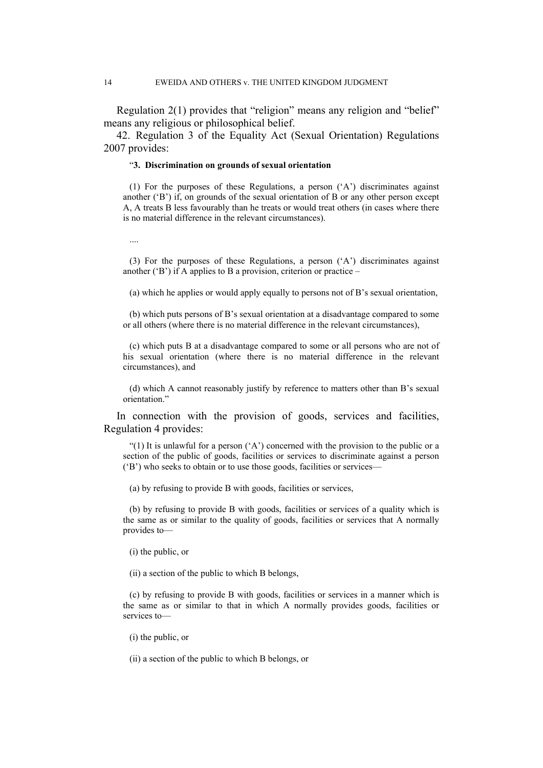Regulation 2(1) provides that "religion" means any religion and "belief" means any religious or philosophical belief.

42. Regulation 3 of the Equality Act (Sexual Orientation) Regulations 2007 provides:

#### "**3. Discrimination on grounds of sexual orientation**

(1) For the purposes of these Regulations, a person ('A') discriminates against another ('B') if, on grounds of the sexual orientation of B or any other person except A, A treats B less favourably than he treats or would treat others (in cases where there is no material difference in the relevant circumstances).

....

(3) For the purposes of these Regulations, a person ('A') discriminates against another ( $B'$ ) if A applies to B a provision, criterion or practice –

(a) which he applies or would apply equally to persons not of B's sexual orientation,

(b) which puts persons of B's sexual orientation at a disadvantage compared to some or all others (where there is no material difference in the relevant circumstances),

(c) which puts B at a disadvantage compared to some or all persons who are not of his sexual orientation (where there is no material difference in the relevant circumstances), and

(d) which A cannot reasonably justify by reference to matters other than B's sexual orientation."

In connection with the provision of goods, services and facilities, Regulation 4 provides:

"(1) It is unlawful for a person  $(A)$  concerned with the provision to the public or a section of the public of goods, facilities or services to discriminate against a person ('B') who seeks to obtain or to use those goods, facilities or services—

(a) by refusing to provide B with goods, facilities or services,

(b) by refusing to provide B with goods, facilities or services of a quality which is the same as or similar to the quality of goods, facilities or services that A normally provides to—

(i) the public, or

(ii) a section of the public to which B belongs,

(c) by refusing to provide B with goods, facilities or services in a manner which is the same as or similar to that in which A normally provides goods, facilities or services to—

(i) the public, or

(ii) a section of the public to which B belongs, or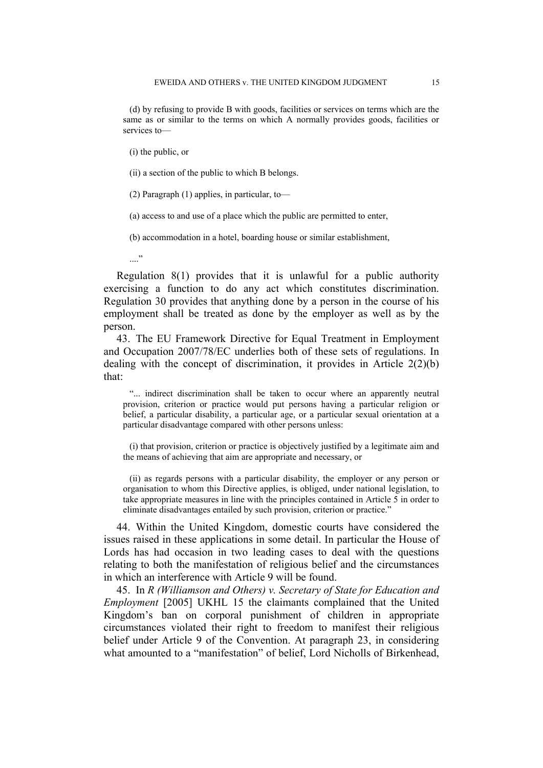(d) by refusing to provide B with goods, facilities or services on terms which are the same as or similar to the terms on which A normally provides goods, facilities or services to—

- (i) the public, or
- (ii) a section of the public to which B belongs.
- (2) Paragraph (1) applies, in particular, to—
- (a) access to and use of a place which the public are permitted to enter,

(b) accommodation in a hotel, boarding house or similar establishment,

 $\cdot$ ..."

Regulation 8(1) provides that it is unlawful for a public authority exercising a function to do any act which constitutes discrimination. Regulation 30 provides that anything done by a person in the course of his employment shall be treated as done by the employer as well as by the person.

43. The EU Framework Directive for Equal Treatment in Employment and Occupation 2007/78/EC underlies both of these sets of regulations. In dealing with the concept of discrimination, it provides in Article 2(2)(b) that:

"... indirect discrimination shall be taken to occur where an apparently neutral provision, criterion or practice would put persons having a particular religion or belief, a particular disability, a particular age, or a particular sexual orientation at a particular disadvantage compared with other persons unless:

(i) that provision, criterion or practice is objectively justified by a legitimate aim and the means of achieving that aim are appropriate and necessary, or

(ii) as regards persons with a particular disability, the employer or any person or organisation to whom this Directive applies, is obliged, under national legislation, to take appropriate measures in line with the principles contained in Article 5 in order to eliminate disadvantages entailed by such provision, criterion or practice."

44. Within the United Kingdom, domestic courts have considered the issues raised in these applications in some detail. In particular the House of Lords has had occasion in two leading cases to deal with the questions relating to both the manifestation of religious belief and the circumstances in which an interference with Article 9 will be found.

45. In *R (Williamson and Others) v. Secretary of State for Education and Employment* [2005] UKHL 15 the claimants complained that the United Kingdom's ban on corporal punishment of children in appropriate circumstances violated their right to freedom to manifest their religious belief under Article 9 of the Convention. At paragraph 23, in considering what amounted to a "manifestation" of belief, Lord Nicholls of Birkenhead,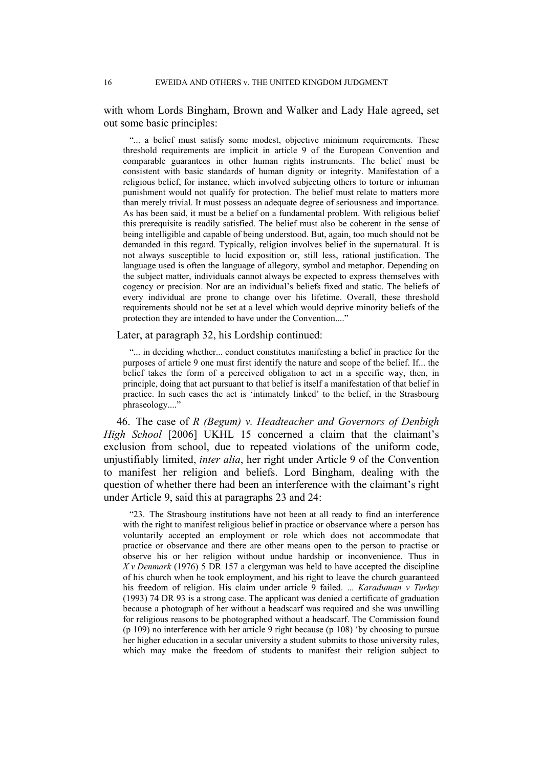with whom Lords Bingham, Brown and Walker and Lady Hale agreed, set out some basic principles:

"... a belief must satisfy some modest, objective minimum requirements. These threshold requirements are implicit in article 9 of the European Convention and comparable guarantees in other human rights instruments. The belief must be consistent with basic standards of human dignity or integrity. Manifestation of a religious belief, for instance, which involved subjecting others to torture or inhuman punishment would not qualify for protection. The belief must relate to matters more than merely trivial. It must possess an adequate degree of seriousness and importance. As has been said, it must be a belief on a fundamental problem. With religious belief this prerequisite is readily satisfied. The belief must also be coherent in the sense of being intelligible and capable of being understood. But, again, too much should not be demanded in this regard. Typically, religion involves belief in the supernatural. It is not always susceptible to lucid exposition or, still less, rational justification. The language used is often the language of allegory, symbol and metaphor. Depending on the subject matter, individuals cannot always be expected to express themselves with cogency or precision. Nor are an individual's beliefs fixed and static. The beliefs of every individual are prone to change over his lifetime. Overall, these threshold requirements should not be set at a level which would deprive minority beliefs of the protection they are intended to have under the Convention...."

#### Later, at paragraph 32, his Lordship continued:

"... in deciding whether... conduct constitutes manifesting a belief in practice for the purposes of article 9 one must first identify the nature and scope of the belief. If... the belief takes the form of a perceived obligation to act in a specific way, then, in principle, doing that act pursuant to that belief is itself a manifestation of that belief in practice. In such cases the act is 'intimately linked' to the belief, in the Strasbourg phraseology...."

46. The case of *R (Begum) v. Headteacher and Governors of Denbigh High School* [2006] UKHL 15 concerned a claim that the claimant's exclusion from school, due to repeated violations of the uniform code, unjustifiably limited, *inter alia*, her right under Article 9 of the Convention to manifest her religion and beliefs. Lord Bingham, dealing with the question of whether there had been an interference with the claimant's right under Article 9, said this at paragraphs 23 and 24:

"23. The Strasbourg institutions have not been at all ready to find an interference with the right to manifest religious belief in practice or observance where a person has voluntarily accepted an employment or role which does not accommodate that practice or observance and there are other means open to the person to practise or observe his or her religion without undue hardship or inconvenience. Thus in *X v Denmark* (1976) 5 DR 157 a clergyman was held to have accepted the discipline of his church when he took employment, and his right to leave the church guaranteed his freedom of religion. His claim under article 9 failed. ... *Karaduman v Turkey* (1993) 74 DR 93 is a strong case. The applicant was denied a certificate of graduation because a photograph of her without a headscarf was required and she was unwilling for religious reasons to be photographed without a headscarf. The Commission found (p 109) no interference with her article 9 right because (p 108) 'by choosing to pursue her higher education in a secular university a student submits to those university rules, which may make the freedom of students to manifest their religion subject to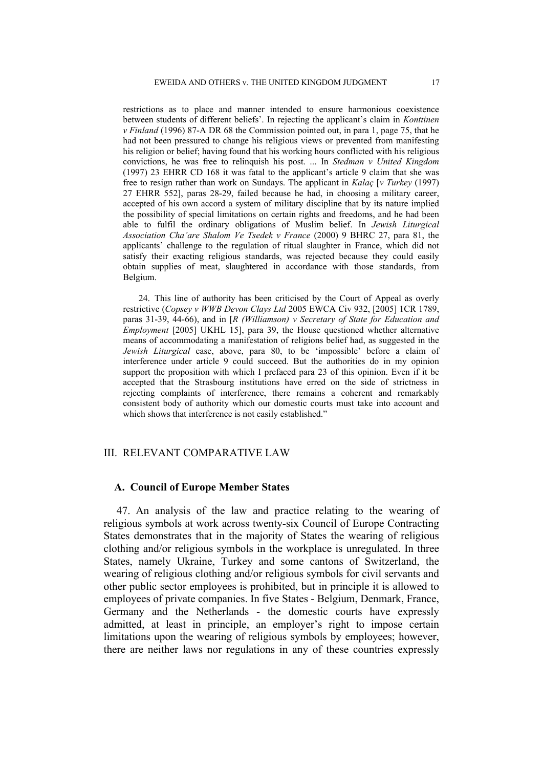restrictions as to place and manner intended to ensure harmonious coexistence between students of different beliefs'. In rejecting the applicant's claim in *Konttinen v Finland* (1996) 87-A DR 68 the Commission pointed out, in para 1, page 75, that he had not been pressured to change his religious views or prevented from manifesting his religion or belief; having found that his working hours conflicted with his religious convictions, he was free to relinquish his post. ... In *Stedman v United Kingdom* (1997) 23 EHRR CD 168 it was fatal to the applicant's article 9 claim that she was free to resign rather than work on Sundays. The applicant in *Kalaç* [*v Turkey* (1997) 27 EHRR 552], paras 28-29, failed because he had, in choosing a military career, accepted of his own accord a system of military discipline that by its nature implied the possibility of special limitations on certain rights and freedoms, and he had been able to fulfil the ordinary obligations of Muslim belief. In *Jewish Liturgical Association Cha'are Shalom Ve Tsedek v France* (2000) 9 BHRC 27, para 81, the applicants' challenge to the regulation of ritual slaughter in France, which did not satisfy their exacting religious standards, was rejected because they could easily obtain supplies of meat, slaughtered in accordance with those standards, from Belgium.

 24. This line of authority has been criticised by the Court of Appeal as overly restrictive (*Copsey v WWB Devon Clays Ltd* 2005 EWCA Civ 932, [2005] 1CR 1789, paras 31-39, 44-66), and in [*R (Williamson) v Secretary of State for Education and Employment* [2005] UKHL 15], para 39, the House questioned whether alternative means of accommodating a manifestation of religions belief had, as suggested in the *Jewish Liturgical* case, above, para 80, to be 'impossible' before a claim of interference under article 9 could succeed. But the authorities do in my opinion support the proposition with which I prefaced para 23 of this opinion. Even if it be accepted that the Strasbourg institutions have erred on the side of strictness in rejecting complaints of interference, there remains a coherent and remarkably consistent body of authority which our domestic courts must take into account and which shows that interference is not easily established."

#### III. RELEVANT COMPARATIVE LAW

#### **A. Council of Europe Member States**

47. An analysis of the law and practice relating to the wearing of religious symbols at work across twenty-six Council of Europe Contracting States demonstrates that in the majority of States the wearing of religious clothing and/or religious symbols in the workplace is unregulated. In three States, namely Ukraine, Turkey and some cantons of Switzerland, the wearing of religious clothing and/or religious symbols for civil servants and other public sector employees is prohibited, but in principle it is allowed to employees of private companies. In five States - Belgium, Denmark, France, Germany and the Netherlands - the domestic courts have expressly admitted, at least in principle, an employer's right to impose certain limitations upon the wearing of religious symbols by employees; however, there are neither laws nor regulations in any of these countries expressly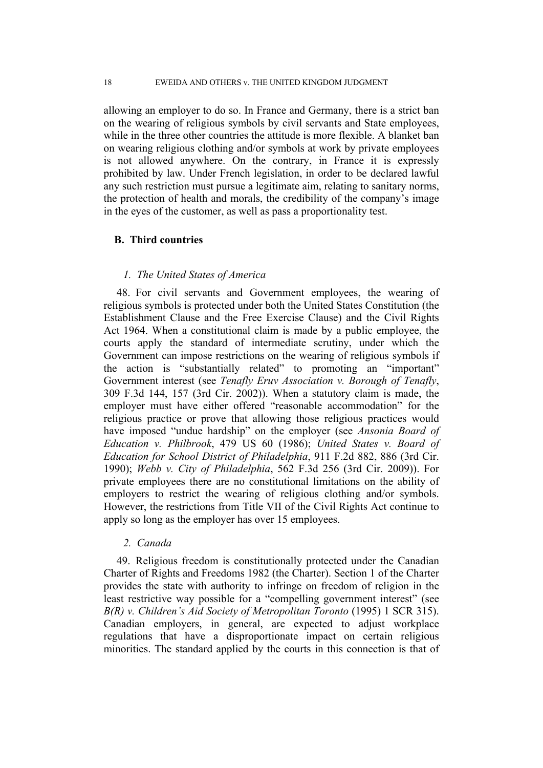allowing an employer to do so. In France and Germany, there is a strict ban on the wearing of religious symbols by civil servants and State employees, while in the three other countries the attitude is more flexible. A blanket ban on wearing religious clothing and/or symbols at work by private employees is not allowed anywhere. On the contrary, in France it is expressly prohibited by law. Under French legislation, in order to be declared lawful any such restriction must pursue a legitimate aim, relating to sanitary norms, the protection of health and morals, the credibility of the company's image in the eyes of the customer, as well as pass a proportionality test.

## **B. Third countries**

## *1. The United States of America*

48. For civil servants and Government employees, the wearing of religious symbols is protected under both the United States Constitution (the Establishment Clause and the Free Exercise Clause) and the Civil Rights Act 1964. When a constitutional claim is made by a public employee, the courts apply the standard of intermediate scrutiny, under which the Government can impose restrictions on the wearing of religious symbols if the action is "substantially related" to promoting an "important" Government interest (see *Tenafly Eruv Association v. Borough of Tenafly*, 309 F.3d 144, 157 (3rd Cir. 2002)). When a statutory claim is made, the employer must have either offered "reasonable accommodation" for the religious practice or prove that allowing those religious practices would have imposed "undue hardship" on the employer (see *Ansonia Board of Education v. Philbrook*, 479 US 60 (1986); *United States v. Board of Education for School District of Philadelphia*, 911 F.2d 882, 886 (3rd Cir. 1990); *Webb v. City of Philadelphia*, 562 F.3d 256 (3rd Cir. 2009)). For private employees there are no constitutional limitations on the ability of employers to restrict the wearing of religious clothing and/or symbols. However, the restrictions from Title VII of the Civil Rights Act continue to apply so long as the employer has over 15 employees.

## *2. Canada*

49. Religious freedom is constitutionally protected under the Canadian Charter of Rights and Freedoms 1982 (the Charter). Section 1 of the Charter provides the state with authority to infringe on freedom of religion in the least restrictive way possible for a "compelling government interest" (see *B(R) v. Children's Aid Society of Metropolitan Toronto* (1995) 1 SCR 315). Canadian employers, in general, are expected to adjust workplace regulations that have a disproportionate impact on certain religious minorities. The standard applied by the courts in this connection is that of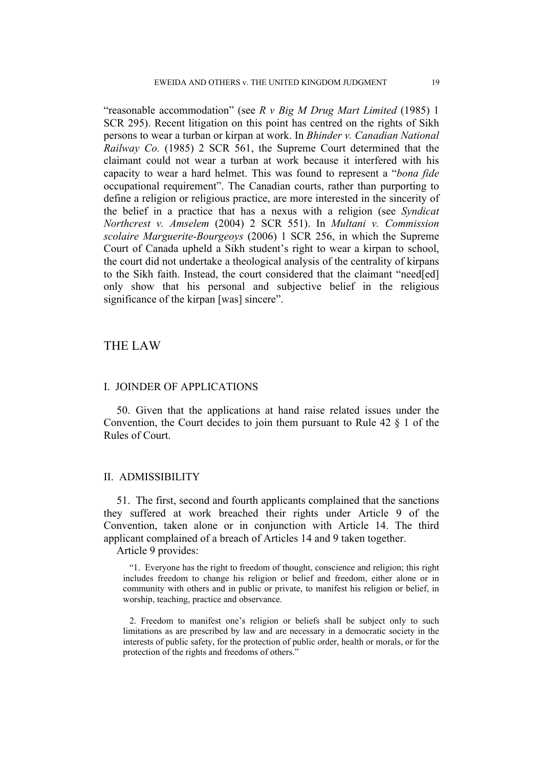"reasonable accommodation" (see *R v Big M Drug Mart Limited* (1985) 1 SCR 295). Recent litigation on this point has centred on the rights of Sikh persons to wear a turban or kirpan at work. In *Bhinder v. Canadian National Railway Co.* (1985) 2 SCR 561, the Supreme Court determined that the claimant could not wear a turban at work because it interfered with his capacity to wear a hard helmet. This was found to represent a "*bona fide* occupational requirement". The Canadian courts, rather than purporting to define a religion or religious practice, are more interested in the sincerity of the belief in a practice that has a nexus with a religion (see *Syndicat Northcrest v. Amselem* (2004) 2 SCR 551). In *Multani v. Commission scolaire Marguerite-Bourgeoys* (2006) 1 SCR 256, in which the Supreme Court of Canada upheld a Sikh student's right to wear a kirpan to school, the court did not undertake a theological analysis of the centrality of kirpans to the Sikh faith. Instead, the court considered that the claimant "need[ed] only show that his personal and subjective belief in the religious significance of the kirpan [was] sincere".

## THE LAW

## I. JOINDER OF APPLICATIONS

50. Given that the applications at hand raise related issues under the Convention, the Court decides to join them pursuant to Rule 42 § 1 of the Rules of Court.

### II. ADMISSIBILITY

51. The first, second and fourth applicants complained that the sanctions they suffered at work breached their rights under Article 9 of the Convention, taken alone or in conjunction with Article 14. The third applicant complained of a breach of Articles 14 and 9 taken together.

Article 9 provides:

"1. Everyone has the right to freedom of thought, conscience and religion; this right includes freedom to change his religion or belief and freedom, either alone or in community with others and in public or private, to manifest his religion or belief, in worship, teaching, practice and observance.

2. Freedom to manifest one's religion or beliefs shall be subject only to such limitations as are prescribed by law and are necessary in a democratic society in the interests of public safety, for the protection of public order, health or morals, or for the protection of the rights and freedoms of others."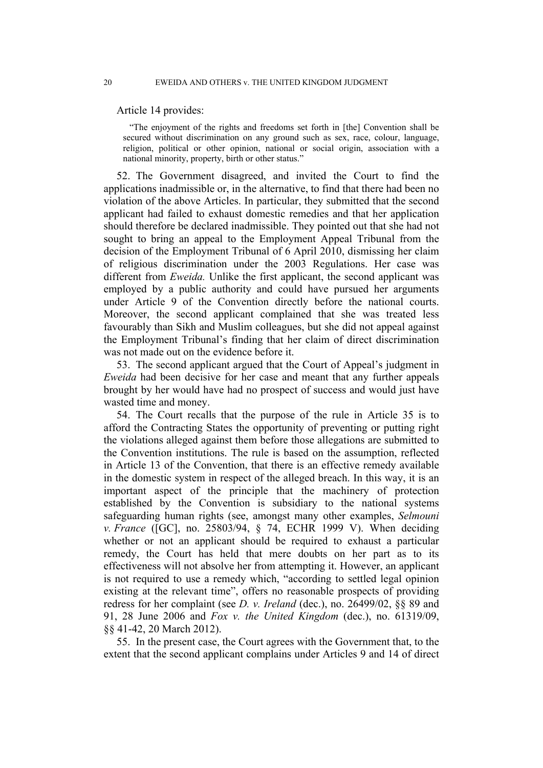Article 14 provides:

"The enjoyment of the rights and freedoms set forth in [the] Convention shall be secured without discrimination on any ground such as sex, race, colour, language, religion, political or other opinion, national or social origin, association with a national minority, property, birth or other status."

52. The Government disagreed, and invited the Court to find the applications inadmissible or, in the alternative, to find that there had been no violation of the above Articles. In particular, they submitted that the second applicant had failed to exhaust domestic remedies and that her application should therefore be declared inadmissible. They pointed out that she had not sought to bring an appeal to the Employment Appeal Tribunal from the decision of the Employment Tribunal of 6 April 2010, dismissing her claim of religious discrimination under the 2003 Regulations. Her case was different from *Eweida.* Unlike the first applicant, the second applicant was employed by a public authority and could have pursued her arguments under Article 9 of the Convention directly before the national courts. Moreover, the second applicant complained that she was treated less favourably than Sikh and Muslim colleagues, but she did not appeal against the Employment Tribunal's finding that her claim of direct discrimination was not made out on the evidence before it.

53. The second applicant argued that the Court of Appeal's judgment in *Eweida* had been decisive for her case and meant that any further appeals brought by her would have had no prospect of success and would just have wasted time and money.

54. The Court recalls that the purpose of the rule in Article 35 is to afford the Contracting States the opportunity of preventing or putting right the violations alleged against them before those allegations are submitted to the Convention institutions. The rule is based on the assumption, reflected in Article 13 of the Convention, that there is an effective remedy available in the domestic system in respect of the alleged breach. In this way, it is an important aspect of the principle that the machinery of protection established by the Convention is subsidiary to the national systems safeguarding human rights (see, amongst many other examples, *Selmouni v. France* ([GC], no. 25803/94, § 74, ECHR 1999 V). When deciding whether or not an applicant should be required to exhaust a particular remedy, the Court has held that mere doubts on her part as to its effectiveness will not absolve her from attempting it. However, an applicant is not required to use a remedy which, "according to settled legal opinion existing at the relevant time", offers no reasonable prospects of providing redress for her complaint (see *D. v. Ireland* (dec.), no. 26499/02, §§ 89 and 91, 28 June 2006 and *Fox v. the United Kingdom* (dec.), no. 61319/09, §§ 41-42, 20 March 2012).

55. In the present case, the Court agrees with the Government that, to the extent that the second applicant complains under Articles 9 and 14 of direct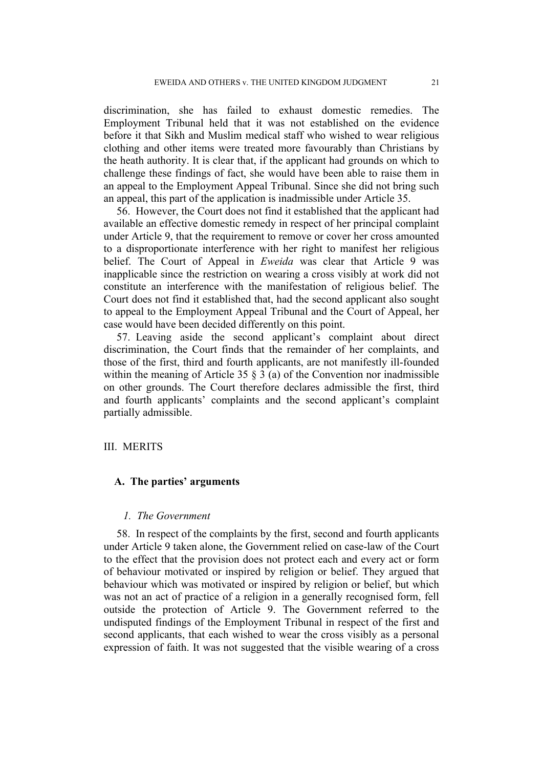discrimination, she has failed to exhaust domestic remedies. The Employment Tribunal held that it was not established on the evidence before it that Sikh and Muslim medical staff who wished to wear religious clothing and other items were treated more favourably than Christians by the heath authority. It is clear that, if the applicant had grounds on which to challenge these findings of fact, she would have been able to raise them in an appeal to the Employment Appeal Tribunal. Since she did not bring such an appeal, this part of the application is inadmissible under Article 35.

56. However, the Court does not find it established that the applicant had available an effective domestic remedy in respect of her principal complaint under Article 9, that the requirement to remove or cover her cross amounted to a disproportionate interference with her right to manifest her religious belief. The Court of Appeal in *Eweida* was clear that Article 9 was inapplicable since the restriction on wearing a cross visibly at work did not constitute an interference with the manifestation of religious belief. The Court does not find it established that, had the second applicant also sought to appeal to the Employment Appeal Tribunal and the Court of Appeal, her case would have been decided differently on this point.

57. Leaving aside the second applicant's complaint about direct discrimination, the Court finds that the remainder of her complaints, and those of the first, third and fourth applicants, are not manifestly ill-founded within the meaning of Article 35  $\S$  3 (a) of the Convention nor inadmissible on other grounds. The Court therefore declares admissible the first, third and fourth applicants' complaints and the second applicant's complaint partially admissible.

## III. MERITS

#### **A. The parties' arguments**

#### *1. The Government*

58. In respect of the complaints by the first, second and fourth applicants under Article 9 taken alone, the Government relied on case-law of the Court to the effect that the provision does not protect each and every act or form of behaviour motivated or inspired by religion or belief. They argued that behaviour which was motivated or inspired by religion or belief, but which was not an act of practice of a religion in a generally recognised form, fell outside the protection of Article 9. The Government referred to the undisputed findings of the Employment Tribunal in respect of the first and second applicants, that each wished to wear the cross visibly as a personal expression of faith. It was not suggested that the visible wearing of a cross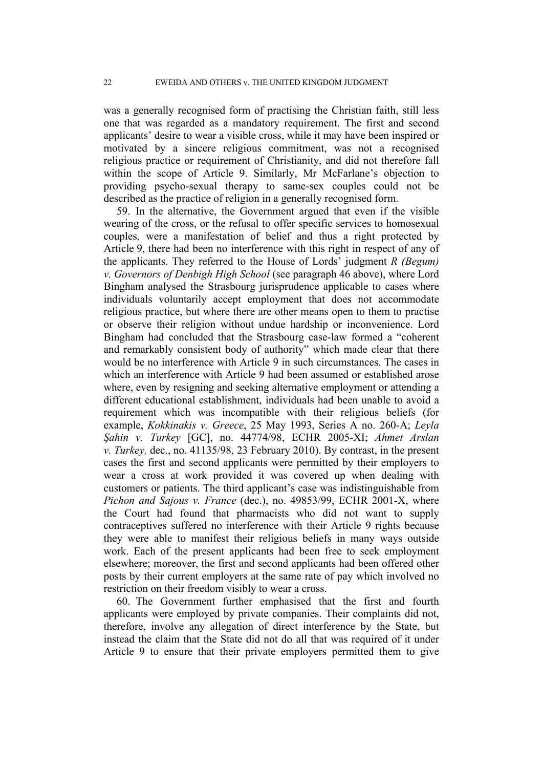was a generally recognised form of practising the Christian faith, still less one that was regarded as a mandatory requirement. The first and second applicants' desire to wear a visible cross, while it may have been inspired or motivated by a sincere religious commitment, was not a recognised religious practice or requirement of Christianity, and did not therefore fall within the scope of Article 9. Similarly, Mr McFarlane's objection to providing psycho-sexual therapy to same-sex couples could not be described as the practice of religion in a generally recognised form.

59. In the alternative, the Government argued that even if the visible wearing of the cross, or the refusal to offer specific services to homosexual couples, were a manifestation of belief and thus a right protected by Article 9, there had been no interference with this right in respect of any of the applicants. They referred to the House of Lords' judgment *R (Begum) v. Governors of Denbigh High School* (see paragraph 46 above), where Lord Bingham analysed the Strasbourg jurisprudence applicable to cases where individuals voluntarily accept employment that does not accommodate religious practice, but where there are other means open to them to practise or observe their religion without undue hardship or inconvenience. Lord Bingham had concluded that the Strasbourg case-law formed a "coherent and remarkably consistent body of authority" which made clear that there would be no interference with Article 9 in such circumstances. The cases in which an interference with Article 9 had been assumed or established arose where, even by resigning and seeking alternative employment or attending a different educational establishment, individuals had been unable to avoid a requirement which was incompatible with their religious beliefs (for example, *Kokkinakis v. Greece*, 25 May 1993, Series A no. 260-A; *Leyla Şahin v. Turkey* [GC], no. 44774/98, ECHR 2005-XI; *Ahmet Arslan v. Turkey,* dec., no. 41135/98, 23 February 2010). By contrast, in the present cases the first and second applicants were permitted by their employers to wear a cross at work provided it was covered up when dealing with customers or patients. The third applicant's case was indistinguishable from *Pichon and Sajous v. France* (dec.), no. 49853/99, ECHR 2001-X, where the Court had found that pharmacists who did not want to supply contraceptives suffered no interference with their Article 9 rights because they were able to manifest their religious beliefs in many ways outside work. Each of the present applicants had been free to seek employment elsewhere; moreover, the first and second applicants had been offered other posts by their current employers at the same rate of pay which involved no restriction on their freedom visibly to wear a cross.

60. The Government further emphasised that the first and fourth applicants were employed by private companies. Their complaints did not, therefore, involve any allegation of direct interference by the State, but instead the claim that the State did not do all that was required of it under Article 9 to ensure that their private employers permitted them to give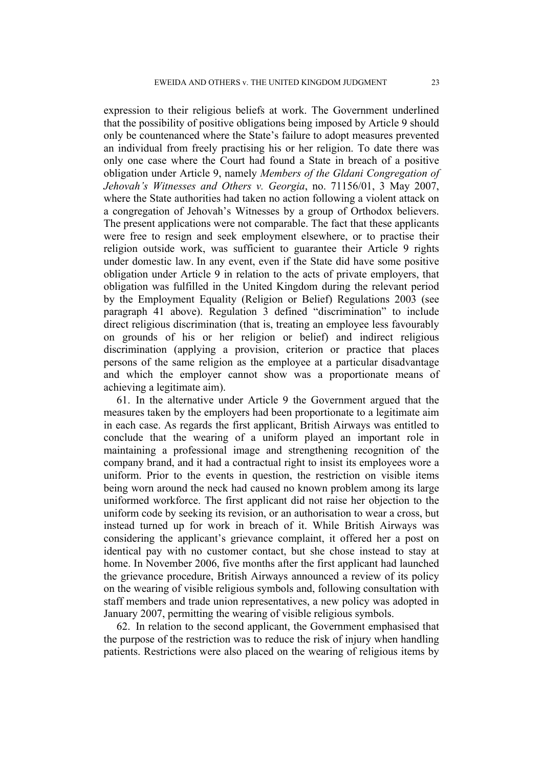expression to their religious beliefs at work. The Government underlined that the possibility of positive obligations being imposed by Article 9 should only be countenanced where the State's failure to adopt measures prevented an individual from freely practising his or her religion. To date there was only one case where the Court had found a State in breach of a positive obligation under Article 9, namely *Members of the Gldani Congregation of Jehovah's Witnesses and Others v. Georgia*, no. 71156/01, 3 May 2007, where the State authorities had taken no action following a violent attack on a congregation of Jehovah's Witnesses by a group of Orthodox believers. The present applications were not comparable. The fact that these applicants were free to resign and seek employment elsewhere, or to practise their religion outside work, was sufficient to guarantee their Article 9 rights under domestic law. In any event, even if the State did have some positive obligation under Article 9 in relation to the acts of private employers, that obligation was fulfilled in the United Kingdom during the relevant period by the Employment Equality (Religion or Belief) Regulations 2003 (see paragraph 41 above). Regulation 3 defined "discrimination" to include direct religious discrimination (that is, treating an employee less favourably on grounds of his or her religion or belief) and indirect religious discrimination (applying a provision, criterion or practice that places persons of the same religion as the employee at a particular disadvantage and which the employer cannot show was a proportionate means of achieving a legitimate aim).

61. In the alternative under Article 9 the Government argued that the measures taken by the employers had been proportionate to a legitimate aim in each case. As regards the first applicant, British Airways was entitled to conclude that the wearing of a uniform played an important role in maintaining a professional image and strengthening recognition of the company brand, and it had a contractual right to insist its employees wore a uniform. Prior to the events in question, the restriction on visible items being worn around the neck had caused no known problem among its large uniformed workforce. The first applicant did not raise her objection to the uniform code by seeking its revision, or an authorisation to wear a cross, but instead turned up for work in breach of it. While British Airways was considering the applicant's grievance complaint, it offered her a post on identical pay with no customer contact, but she chose instead to stay at home. In November 2006, five months after the first applicant had launched the grievance procedure, British Airways announced a review of its policy on the wearing of visible religious symbols and, following consultation with staff members and trade union representatives, a new policy was adopted in January 2007, permitting the wearing of visible religious symbols.

62. In relation to the second applicant, the Government emphasised that the purpose of the restriction was to reduce the risk of injury when handling patients. Restrictions were also placed on the wearing of religious items by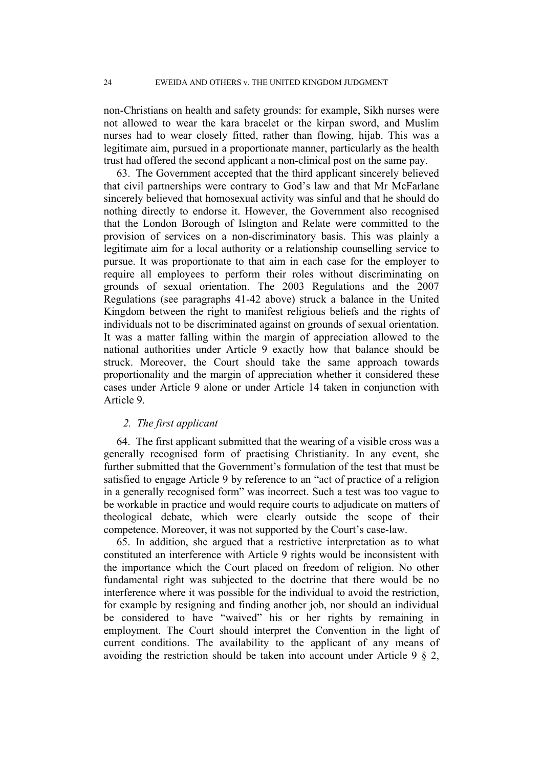non-Christians on health and safety grounds: for example, Sikh nurses were not allowed to wear the kara bracelet or the kirpan sword, and Muslim nurses had to wear closely fitted, rather than flowing, hijab. This was a legitimate aim, pursued in a proportionate manner, particularly as the health trust had offered the second applicant a non-clinical post on the same pay.

63. The Government accepted that the third applicant sincerely believed that civil partnerships were contrary to God's law and that Mr McFarlane sincerely believed that homosexual activity was sinful and that he should do nothing directly to endorse it. However, the Government also recognised that the London Borough of Islington and Relate were committed to the provision of services on a non-discriminatory basis. This was plainly a legitimate aim for a local authority or a relationship counselling service to pursue. It was proportionate to that aim in each case for the employer to require all employees to perform their roles without discriminating on grounds of sexual orientation. The 2003 Regulations and the 2007 Regulations (see paragraphs 41-42 above) struck a balance in the United Kingdom between the right to manifest religious beliefs and the rights of individuals not to be discriminated against on grounds of sexual orientation. It was a matter falling within the margin of appreciation allowed to the national authorities under Article 9 exactly how that balance should be struck. Moreover, the Court should take the same approach towards proportionality and the margin of appreciation whether it considered these cases under Article 9 alone or under Article 14 taken in conjunction with Article 9.

## *2. The first applicant*

64. The first applicant submitted that the wearing of a visible cross was a generally recognised form of practising Christianity. In any event, she further submitted that the Government's formulation of the test that must be satisfied to engage Article 9 by reference to an "act of practice of a religion in a generally recognised form" was incorrect. Such a test was too vague to be workable in practice and would require courts to adjudicate on matters of theological debate, which were clearly outside the scope of their competence. Moreover, it was not supported by the Court's case-law.

65. In addition, she argued that a restrictive interpretation as to what constituted an interference with Article 9 rights would be inconsistent with the importance which the Court placed on freedom of religion. No other fundamental right was subjected to the doctrine that there would be no interference where it was possible for the individual to avoid the restriction, for example by resigning and finding another job, nor should an individual be considered to have "waived" his or her rights by remaining in employment. The Court should interpret the Convention in the light of current conditions. The availability to the applicant of any means of avoiding the restriction should be taken into account under Article 9 § 2,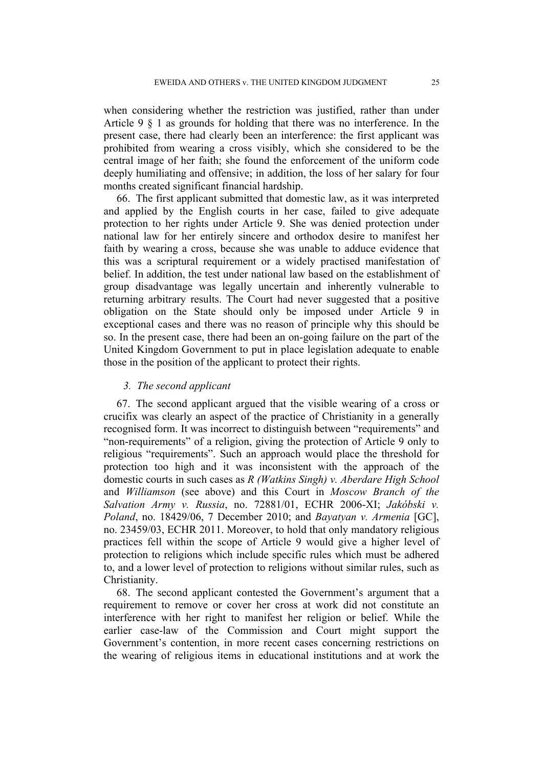when considering whether the restriction was justified, rather than under Article 9 § 1 as grounds for holding that there was no interference. In the present case, there had clearly been an interference: the first applicant was prohibited from wearing a cross visibly, which she considered to be the central image of her faith; she found the enforcement of the uniform code deeply humiliating and offensive; in addition, the loss of her salary for four months created significant financial hardship.

66. The first applicant submitted that domestic law, as it was interpreted and applied by the English courts in her case, failed to give adequate protection to her rights under Article 9. She was denied protection under national law for her entirely sincere and orthodox desire to manifest her faith by wearing a cross, because she was unable to adduce evidence that this was a scriptural requirement or a widely practised manifestation of belief. In addition, the test under national law based on the establishment of group disadvantage was legally uncertain and inherently vulnerable to returning arbitrary results. The Court had never suggested that a positive obligation on the State should only be imposed under Article 9 in exceptional cases and there was no reason of principle why this should be so. In the present case, there had been an on-going failure on the part of the United Kingdom Government to put in place legislation adequate to enable those in the position of the applicant to protect their rights.

## *3. The second applicant*

67. The second applicant argued that the visible wearing of a cross or crucifix was clearly an aspect of the practice of Christianity in a generally recognised form. It was incorrect to distinguish between "requirements" and "non-requirements" of a religion, giving the protection of Article 9 only to religious "requirements". Such an approach would place the threshold for protection too high and it was inconsistent with the approach of the domestic courts in such cases as *R (Watkins Singh) v. Aberdare High School*  and *Williamson* (see above) and this Court in *Moscow Branch of the Salvation Army v. Russia*, no. 72881/01, ECHR 2006-XI; *Jakóbski v. Poland*, no. 18429/06, 7 December 2010; and *Bayatyan v. Armenia* [GC], no. 23459/03, ECHR 2011. Moreover, to hold that only mandatory religious practices fell within the scope of Article 9 would give a higher level of protection to religions which include specific rules which must be adhered to, and a lower level of protection to religions without similar rules, such as Christianity.

68. The second applicant contested the Government's argument that a requirement to remove or cover her cross at work did not constitute an interference with her right to manifest her religion or belief. While the earlier case-law of the Commission and Court might support the Government's contention, in more recent cases concerning restrictions on the wearing of religious items in educational institutions and at work the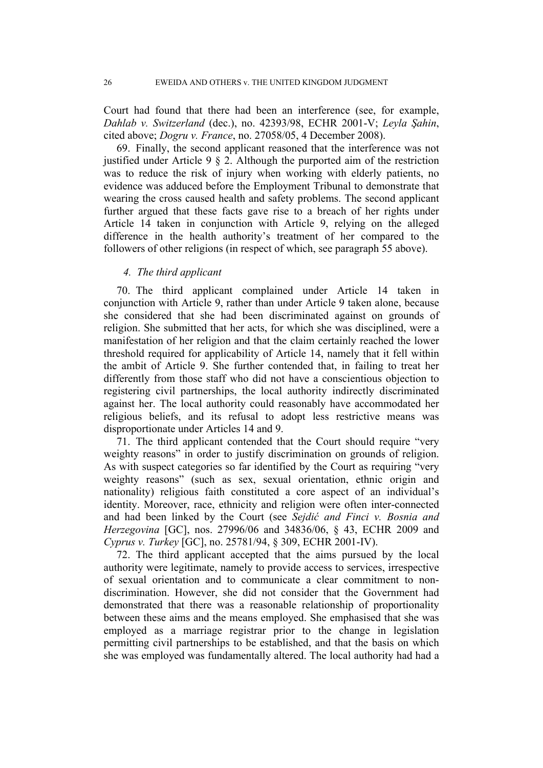Court had found that there had been an interference (see, for example, *Dahlab v. Switzerland* (dec.), no. 42393/98, ECHR 2001-V; *Leyla Şahin*, cited above; *Dogru v. France*, no. 27058/05, 4 December 2008).

69. Finally, the second applicant reasoned that the interference was not justified under Article 9  $\S$  2. Although the purported aim of the restriction was to reduce the risk of injury when working with elderly patients, no evidence was adduced before the Employment Tribunal to demonstrate that wearing the cross caused health and safety problems. The second applicant further argued that these facts gave rise to a breach of her rights under Article 14 taken in conjunction with Article 9, relying on the alleged difference in the health authority's treatment of her compared to the followers of other religions (in respect of which, see paragraph 55 above).

## *4. The third applicant*

70. The third applicant complained under Article 14 taken in conjunction with Article 9, rather than under Article 9 taken alone, because she considered that she had been discriminated against on grounds of religion. She submitted that her acts, for which she was disciplined, were a manifestation of her religion and that the claim certainly reached the lower threshold required for applicability of Article 14, namely that it fell within the ambit of Article 9. She further contended that, in failing to treat her differently from those staff who did not have a conscientious objection to registering civil partnerships, the local authority indirectly discriminated against her. The local authority could reasonably have accommodated her religious beliefs, and its refusal to adopt less restrictive means was disproportionate under Articles 14 and 9.

71. The third applicant contended that the Court should require "very weighty reasons" in order to justify discrimination on grounds of religion. As with suspect categories so far identified by the Court as requiring "very weighty reasons" (such as sex, sexual orientation, ethnic origin and nationality) religious faith constituted a core aspect of an individual's identity. Moreover, race, ethnicity and religion were often inter-connected and had been linked by the Court (see *Sejdić and Finci v. Bosnia and Herzegovina* [GC], nos. 27996/06 and 34836/06, § 43, ECHR 2009 and *Cyprus v. Turkey* [GC], no. 25781/94, § 309, ECHR 2001-IV).

72. The third applicant accepted that the aims pursued by the local authority were legitimate, namely to provide access to services, irrespective of sexual orientation and to communicate a clear commitment to nondiscrimination. However, she did not consider that the Government had demonstrated that there was a reasonable relationship of proportionality between these aims and the means employed. She emphasised that she was employed as a marriage registrar prior to the change in legislation permitting civil partnerships to be established, and that the basis on which she was employed was fundamentally altered. The local authority had had a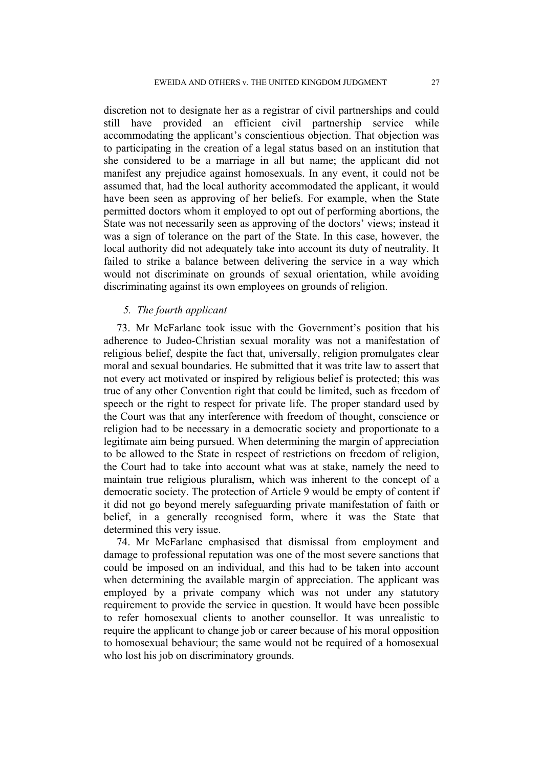discretion not to designate her as a registrar of civil partnerships and could still have provided an efficient civil partnership service while accommodating the applicant's conscientious objection. That objection was to participating in the creation of a legal status based on an institution that she considered to be a marriage in all but name; the applicant did not manifest any prejudice against homosexuals. In any event, it could not be assumed that, had the local authority accommodated the applicant, it would have been seen as approving of her beliefs. For example, when the State permitted doctors whom it employed to opt out of performing abortions, the State was not necessarily seen as approving of the doctors' views; instead it was a sign of tolerance on the part of the State. In this case, however, the local authority did not adequately take into account its duty of neutrality. It failed to strike a balance between delivering the service in a way which would not discriminate on grounds of sexual orientation, while avoiding discriminating against its own employees on grounds of religion.

## *5. The fourth applicant*

73. Mr McFarlane took issue with the Government's position that his adherence to Judeo-Christian sexual morality was not a manifestation of religious belief, despite the fact that, universally, religion promulgates clear moral and sexual boundaries. He submitted that it was trite law to assert that not every act motivated or inspired by religious belief is protected; this was true of any other Convention right that could be limited, such as freedom of speech or the right to respect for private life. The proper standard used by the Court was that any interference with freedom of thought, conscience or religion had to be necessary in a democratic society and proportionate to a legitimate aim being pursued. When determining the margin of appreciation to be allowed to the State in respect of restrictions on freedom of religion, the Court had to take into account what was at stake, namely the need to maintain true religious pluralism, which was inherent to the concept of a democratic society. The protection of Article 9 would be empty of content if it did not go beyond merely safeguarding private manifestation of faith or belief, in a generally recognised form, where it was the State that determined this very issue.

74. Mr McFarlane emphasised that dismissal from employment and damage to professional reputation was one of the most severe sanctions that could be imposed on an individual, and this had to be taken into account when determining the available margin of appreciation. The applicant was employed by a private company which was not under any statutory requirement to provide the service in question. It would have been possible to refer homosexual clients to another counsellor. It was unrealistic to require the applicant to change job or career because of his moral opposition to homosexual behaviour; the same would not be required of a homosexual who lost his job on discriminatory grounds.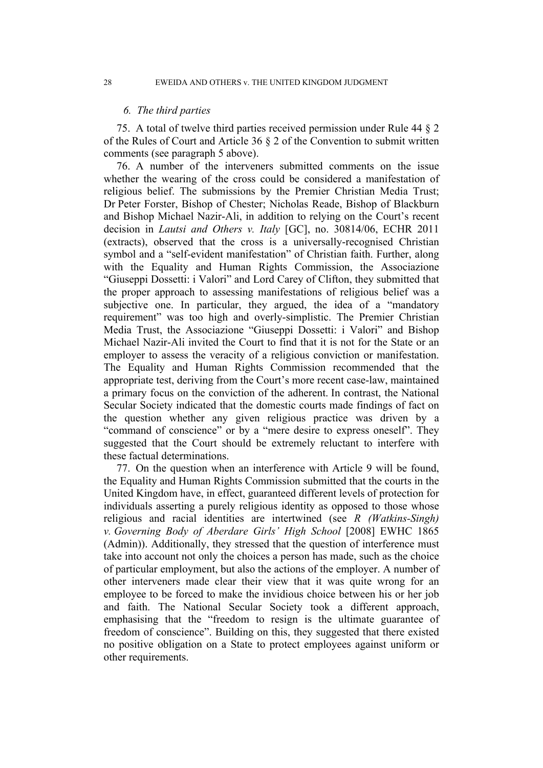#### *6. The third parties*

75. A total of twelve third parties received permission under Rule 44 § 2 of the Rules of Court and Article 36 § 2 of the Convention to submit written comments (see paragraph 5 above).

76. A number of the interveners submitted comments on the issue whether the wearing of the cross could be considered a manifestation of religious belief. The submissions by the Premier Christian Media Trust; Dr Peter Forster, Bishop of Chester; Nicholas Reade, Bishop of Blackburn and Bishop Michael Nazir-Ali, in addition to relying on the Court's recent decision in *Lautsi and Others v. Italy* [GC], no. 30814/06, ECHR 2011 (extracts), observed that the cross is a universally-recognised Christian symbol and a "self-evident manifestation" of Christian faith. Further, along with the Equality and Human Rights Commission, the Associazione "Giuseppi Dossetti: i Valori" and Lord Carey of Clifton, they submitted that the proper approach to assessing manifestations of religious belief was a subjective one. In particular, they argued, the idea of a "mandatory requirement" was too high and overly-simplistic. The Premier Christian Media Trust, the Associazione "Giuseppi Dossetti: i Valori" and Bishop Michael Nazir-Ali invited the Court to find that it is not for the State or an employer to assess the veracity of a religious conviction or manifestation. The Equality and Human Rights Commission recommended that the appropriate test, deriving from the Court's more recent case-law, maintained a primary focus on the conviction of the adherent. In contrast, the National Secular Society indicated that the domestic courts made findings of fact on the question whether any given religious practice was driven by a "command of conscience" or by a "mere desire to express oneself". They suggested that the Court should be extremely reluctant to interfere with these factual determinations.

77. On the question when an interference with Article 9 will be found, the Equality and Human Rights Commission submitted that the courts in the United Kingdom have, in effect, guaranteed different levels of protection for individuals asserting a purely religious identity as opposed to those whose religious and racial identities are intertwined (see *R (Watkins-Singh) v. Governing Body of Aberdare Girls' High School* [2008] EWHC 1865 (Admin)). Additionally, they stressed that the question of interference must take into account not only the choices a person has made, such as the choice of particular employment, but also the actions of the employer. A number of other interveners made clear their view that it was quite wrong for an employee to be forced to make the invidious choice between his or her job and faith. The National Secular Society took a different approach, emphasising that the "freedom to resign is the ultimate guarantee of freedom of conscience". Building on this, they suggested that there existed no positive obligation on a State to protect employees against uniform or other requirements.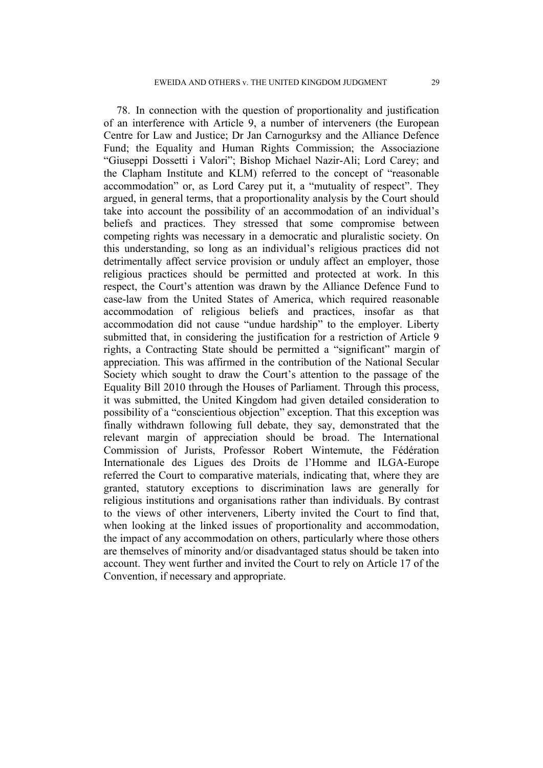78. In connection with the question of proportionality and justification of an interference with Article 9, a number of interveners (the European Centre for Law and Justice; Dr Jan Carnogurksy and the Alliance Defence Fund; the Equality and Human Rights Commission; the Associazione "Giuseppi Dossetti i Valori"; Bishop Michael Nazir-Ali; Lord Carey; and the Clapham Institute and KLM) referred to the concept of "reasonable accommodation" or, as Lord Carey put it, a "mutuality of respect". They argued, in general terms, that a proportionality analysis by the Court should take into account the possibility of an accommodation of an individual's beliefs and practices. They stressed that some compromise between competing rights was necessary in a democratic and pluralistic society. On this understanding, so long as an individual's religious practices did not detrimentally affect service provision or unduly affect an employer, those religious practices should be permitted and protected at work. In this respect, the Court's attention was drawn by the Alliance Defence Fund to case-law from the United States of America, which required reasonable accommodation of religious beliefs and practices, insofar as that accommodation did not cause "undue hardship" to the employer. Liberty submitted that, in considering the justification for a restriction of Article 9 rights, a Contracting State should be permitted a "significant" margin of appreciation. This was affirmed in the contribution of the National Secular Society which sought to draw the Court's attention to the passage of the Equality Bill 2010 through the Houses of Parliament. Through this process, it was submitted, the United Kingdom had given detailed consideration to possibility of a "conscientious objection" exception. That this exception was finally withdrawn following full debate, they say, demonstrated that the relevant margin of appreciation should be broad. The International Commission of Jurists, Professor Robert Wintemute, the Fédération Internationale des Ligues des Droits de l'Homme and ILGA-Europe referred the Court to comparative materials, indicating that, where they are granted, statutory exceptions to discrimination laws are generally for religious institutions and organisations rather than individuals. By contrast to the views of other interveners, Liberty invited the Court to find that, when looking at the linked issues of proportionality and accommodation, the impact of any accommodation on others, particularly where those others are themselves of minority and/or disadvantaged status should be taken into account. They went further and invited the Court to rely on Article 17 of the Convention, if necessary and appropriate.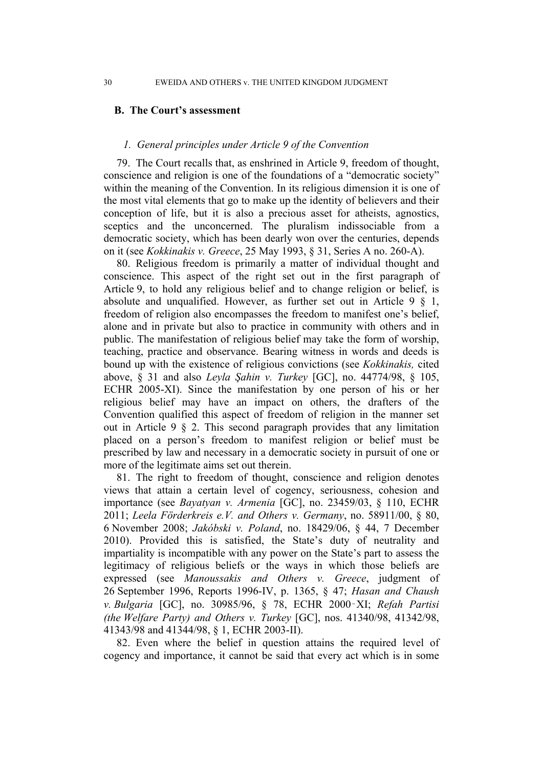#### **B. The Court's assessment**

### *1. General principles under Article 9 of the Convention*

79. The Court recalls that, as enshrined in Article 9, freedom of thought, conscience and religion is one of the foundations of a "democratic society" within the meaning of the Convention. In its religious dimension it is one of the most vital elements that go to make up the identity of believers and their conception of life, but it is also a precious asset for atheists, agnostics, sceptics and the unconcerned. The pluralism indissociable from a democratic society, which has been dearly won over the centuries, depends on it (see *Kokkinakis v. Greece*, 25 May 1993, § 31, Series A no. 260-A).

80. Religious freedom is primarily a matter of individual thought and conscience. This aspect of the right set out in the first paragraph of Article 9, to hold any religious belief and to change religion or belief, is absolute and unqualified. However, as further set out in Article 9 § 1, freedom of religion also encompasses the freedom to manifest one's belief, alone and in private but also to practice in community with others and in public. The manifestation of religious belief may take the form of worship, teaching, practice and observance. Bearing witness in words and deeds is bound up with the existence of religious convictions (see *Kokkinakis,* cited above, § 31 and also *Leyla Şahin v. Turkey* [GC], no. 44774/98, § 105, ECHR 2005-XI). Since the manifestation by one person of his or her religious belief may have an impact on others, the drafters of the Convention qualified this aspect of freedom of religion in the manner set out in Article 9 § 2. This second paragraph provides that any limitation placed on a person's freedom to manifest religion or belief must be prescribed by law and necessary in a democratic society in pursuit of one or more of the legitimate aims set out therein.

81. The right to freedom of thought, conscience and religion denotes views that attain a certain level of cogency, seriousness, cohesion and importance (see *Bayatyan v. Armenia* [GC], no. 23459/03, § 110, ECHR 2011; *Leela Förderkreis e.V. and Others v. Germany*, no. 58911/00, § 80, 6 November 2008; *Jakóbski v. Poland*, no. 18429/06, § 44, 7 December 2010). Provided this is satisfied, the State's duty of neutrality and impartiality is incompatible with any power on the State's part to assess the legitimacy of religious beliefs or the ways in which those beliefs are expressed (see *Manoussakis and Others v. Greece*, judgment of 26 September 1996, Reports 1996-IV, p. 1365, § 47; *Hasan and Chaush v. Bulgaria* [GC], no. 30985/96, § 78, ECHR 2000‑XI; *Refah Partisi (the Welfare Party) and Others v. Turkey* [GC], nos. 41340/98, 41342/98, 41343/98 and 41344/98, § 1, ECHR 2003-II).

82. Even where the belief in question attains the required level of cogency and importance, it cannot be said that every act which is in some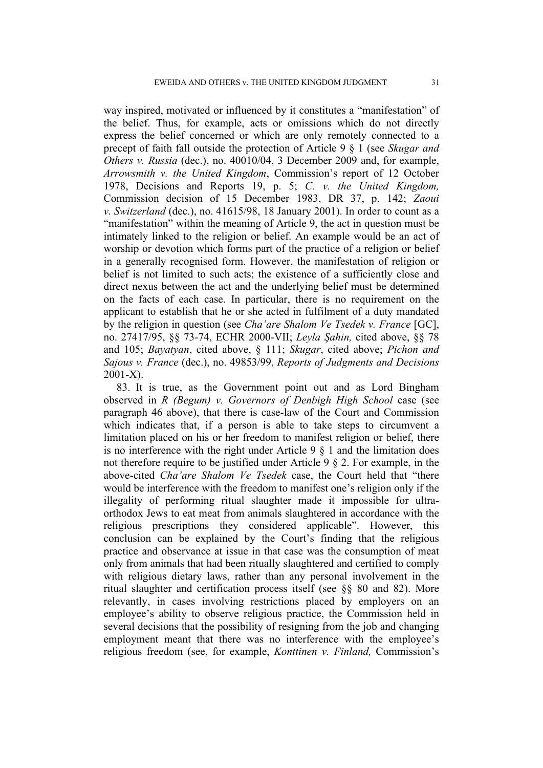way inspired, motivated or influenced by it constitutes a "manifestation" of the belief. Thus, for example, acts or omissions which do not directly express the belief concerned or which are only remotely connected to a precept of faith fall outside the protection of Article 9 § 1 (see *Skugar and Others v. Russia* (dec.), no. 40010/04, 3 December 2009 and, for example, *Arrowsmith v. the United Kingdom*, Commission's report of 12 October 1978, Decisions and Reports 19, p. 5; *C. v. the United Kingdom,*  Commission decision of 15 December 1983, DR 37, p. 142; *Zaoui v. Switzerland* (dec.), no. 41615/98, 18 January 2001). In order to count as a "manifestation" within the meaning of Article 9, the act in question must be intimately linked to the religion or belief. An example would be an act of worship or devotion which forms part of the practice of a religion or belief in a generally recognised form. However, the manifestation of religion or belief is not limited to such acts; the existence of a sufficiently close and direct nexus between the act and the underlying belief must be determined on the facts of each case. In particular, there is no requirement on the applicant to establish that he or she acted in fulfilment of a duty mandated by the religion in question (see *Cha'are Shalom Ve Tsedek v. France* [GC], no. 27417/95, §§ 73-74, ECHR 2000-VII; *Leyla Şahin,* cited above, §§ 78 and 105; *Bayatyan*, cited above, § 111; *Skugar*, cited above; *Pichon and Sajous v. France* (dec.), no. 49853/99, *Reports of Judgments and Decisions* 2001-X).

83. It is true, as the Government point out and as Lord Bingham observed in *R (Begum) v. Governors of Denbigh High School* case (see paragraph 46 above), that there is case-law of the Court and Commission which indicates that, if a person is able to take steps to circumvent a limitation placed on his or her freedom to manifest religion or belief, there is no interference with the right under Article  $9 \S 1$  and the limitation does not therefore require to be justified under Article 9 § 2. For example, in the above-cited *Cha'are Shalom Ve Tsedek* case, the Court held that "there would be interference with the freedom to manifest one's religion only if the illegality of performing ritual slaughter made it impossible for ultraorthodox Jews to eat meat from animals slaughtered in accordance with the religious prescriptions they considered applicable". However, this conclusion can be explained by the Court's finding that the religious practice and observance at issue in that case was the consumption of meat only from animals that had been ritually slaughtered and certified to comply with religious dietary laws, rather than any personal involvement in the ritual slaughter and certification process itself (see §§ 80 and 82). More relevantly, in cases involving restrictions placed by employers on an employee's ability to observe religious practice, the Commission held in several decisions that the possibility of resigning from the job and changing employment meant that there was no interference with the employee's religious freedom (see, for example, *Konttinen v. Finland,* Commission's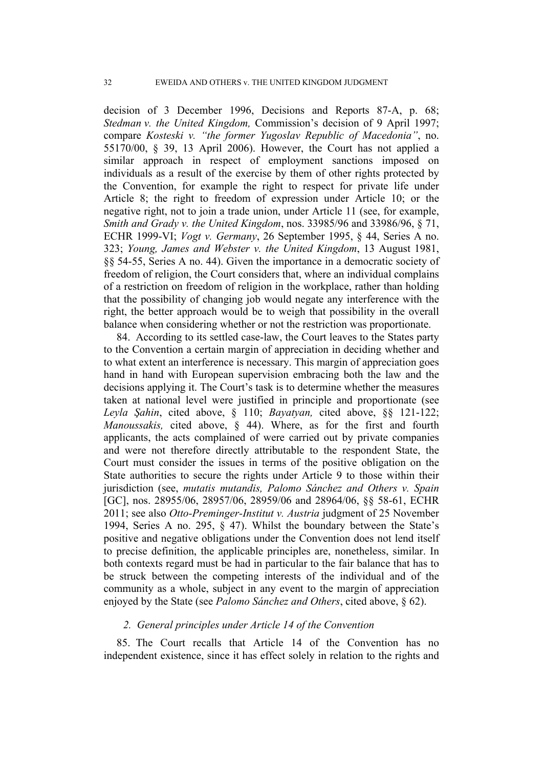decision of 3 December 1996, Decisions and Reports 87-A, p. 68; *Stedman v. the United Kingdom,* Commission's decision of 9 April 1997; compare *Kosteski v. "the former Yugoslav Republic of Macedonia"*, no. 55170/00, § 39, 13 April 2006). However, the Court has not applied a similar approach in respect of employment sanctions imposed on individuals as a result of the exercise by them of other rights protected by the Convention, for example the right to respect for private life under Article 8; the right to freedom of expression under Article 10; or the negative right, not to join a trade union, under Article 11 (see, for example, *Smith and Grady v. the United Kingdom*, nos. 33985/96 and 33986/96, § 71, ECHR 1999-VI; *Vogt v. Germany*, 26 September 1995, § 44, Series A no. 323; *Young, James and Webster v. the United Kingdom*, 13 August 1981, §§ 54-55, Series A no. 44). Given the importance in a democratic society of freedom of religion, the Court considers that, where an individual complains of a restriction on freedom of religion in the workplace, rather than holding that the possibility of changing job would negate any interference with the right, the better approach would be to weigh that possibility in the overall balance when considering whether or not the restriction was proportionate.

84. According to its settled case-law, the Court leaves to the States party to the Convention a certain margin of appreciation in deciding whether and to what extent an interference is necessary. This margin of appreciation goes hand in hand with European supervision embracing both the law and the decisions applying it. The Court's task is to determine whether the measures taken at national level were justified in principle and proportionate (see *Leyla Şahin*, cited above, § 110; *Bayatyan,* cited above, §§ 121-122; *Manoussakis,* cited above, § 44). Where, as for the first and fourth applicants, the acts complained of were carried out by private companies and were not therefore directly attributable to the respondent State, the Court must consider the issues in terms of the positive obligation on the State authorities to secure the rights under Article 9 to those within their jurisdiction (see, *mutatis mutandis, Palomo Sánchez and Others v. Spain* [GC], nos. 28955/06, 28957/06, 28959/06 and 28964/06, §§ 58-61, ECHR 2011; see also *Otto-Preminger-Institut v. Austria* judgment of 25 November 1994, Series A no. 295, § 47). Whilst the boundary between the State's positive and negative obligations under the Convention does not lend itself to precise definition, the applicable principles are, nonetheless, similar. In both contexts regard must be had in particular to the fair balance that has to be struck between the competing interests of the individual and of the community as a whole, subject in any event to the margin of appreciation enjoyed by the State (see *Palomo Sánchez and Others*, cited above, § 62).

#### *2. General principles under Article 14 of the Convention*

85. The Court recalls that Article 14 of the Convention has no independent existence, since it has effect solely in relation to the rights and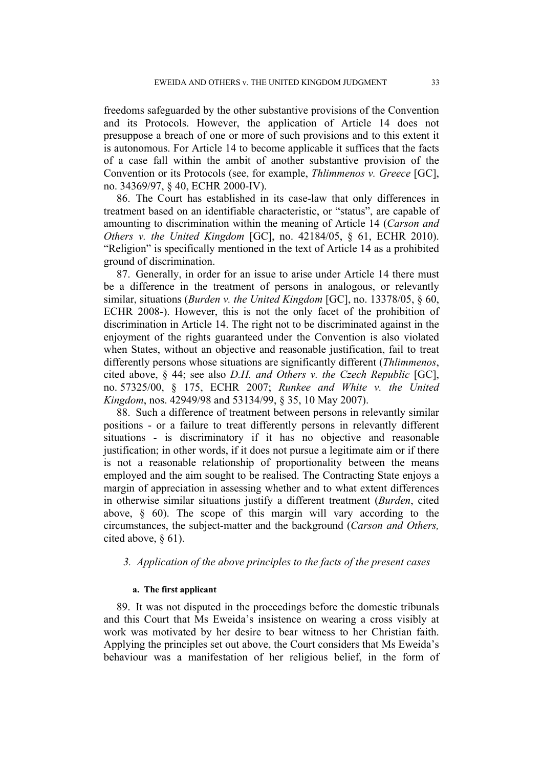freedoms safeguarded by the other substantive provisions of the Convention and its Protocols. However, the application of Article 14 does not presuppose a breach of one or more of such provisions and to this extent it is autonomous. For Article 14 to become applicable it suffices that the facts of a case fall within the ambit of another substantive provision of the Convention or its Protocols (see, for example, *Thlimmenos v. Greece* [GC], no. 34369/97, § 40, ECHR 2000-IV).

86. The Court has established in its case-law that only differences in treatment based on an identifiable characteristic, or "status", are capable of amounting to discrimination within the meaning of Article 14 (*Carson and Others v. the United Kingdom* [GC], no. 42184/05, § 61, ECHR 2010). "Religion" is specifically mentioned in the text of Article 14 as a prohibited ground of discrimination.

87. Generally, in order for an issue to arise under Article 14 there must be a difference in the treatment of persons in analogous, or relevantly similar, situations (*Burden v. the United Kingdom* [GC], no. 13378/05, § 60, ECHR 2008-). However, this is not the only facet of the prohibition of discrimination in Article 14. The right not to be discriminated against in the enjoyment of the rights guaranteed under the Convention is also violated when States, without an objective and reasonable justification, fail to treat differently persons whose situations are significantly different (*Thlimmenos*, cited above, § 44; see also *D.H. and Others v. the Czech Republic* [GC], no. 57325/00, § 175, ECHR 2007; *Runkee and White v. the United Kingdom*, nos. 42949/98 and 53134/99, § 35, 10 May 2007).

88. Such a difference of treatment between persons in relevantly similar positions - or a failure to treat differently persons in relevantly different situations - is discriminatory if it has no objective and reasonable justification; in other words, if it does not pursue a legitimate aim or if there is not a reasonable relationship of proportionality between the means employed and the aim sought to be realised. The Contracting State enjoys a margin of appreciation in assessing whether and to what extent differences in otherwise similar situations justify a different treatment (*Burden*, cited above, § 60). The scope of this margin will vary according to the circumstances, the subject-matter and the background (*Carson and Others,*  cited above, § 61).

### *3. Application of the above principles to the facts of the present cases*

### **a. The first applicant**

89. It was not disputed in the proceedings before the domestic tribunals and this Court that Ms Eweida's insistence on wearing a cross visibly at work was motivated by her desire to bear witness to her Christian faith. Applying the principles set out above, the Court considers that Ms Eweida's behaviour was a manifestation of her religious belief, in the form of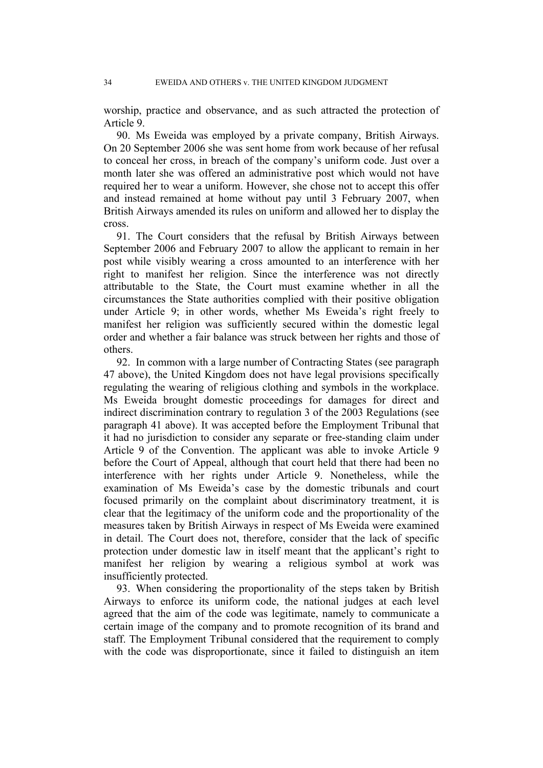worship, practice and observance, and as such attracted the protection of Article 9.

90. Ms Eweida was employed by a private company, British Airways. On 20 September 2006 she was sent home from work because of her refusal to conceal her cross, in breach of the company's uniform code. Just over a month later she was offered an administrative post which would not have required her to wear a uniform. However, she chose not to accept this offer and instead remained at home without pay until 3 February 2007, when British Airways amended its rules on uniform and allowed her to display the cross.

91. The Court considers that the refusal by British Airways between September 2006 and February 2007 to allow the applicant to remain in her post while visibly wearing a cross amounted to an interference with her right to manifest her religion. Since the interference was not directly attributable to the State, the Court must examine whether in all the circumstances the State authorities complied with their positive obligation under Article 9; in other words, whether Ms Eweida's right freely to manifest her religion was sufficiently secured within the domestic legal order and whether a fair balance was struck between her rights and those of others.

92. In common with a large number of Contracting States (see paragraph 47 above), the United Kingdom does not have legal provisions specifically regulating the wearing of religious clothing and symbols in the workplace. Ms Eweida brought domestic proceedings for damages for direct and indirect discrimination contrary to regulation 3 of the 2003 Regulations (see paragraph 41 above). It was accepted before the Employment Tribunal that it had no jurisdiction to consider any separate or free-standing claim under Article 9 of the Convention. The applicant was able to invoke Article 9 before the Court of Appeal, although that court held that there had been no interference with her rights under Article 9. Nonetheless, while the examination of Ms Eweida's case by the domestic tribunals and court focused primarily on the complaint about discriminatory treatment, it is clear that the legitimacy of the uniform code and the proportionality of the measures taken by British Airways in respect of Ms Eweida were examined in detail. The Court does not, therefore, consider that the lack of specific protection under domestic law in itself meant that the applicant's right to manifest her religion by wearing a religious symbol at work was insufficiently protected.

93. When considering the proportionality of the steps taken by British Airways to enforce its uniform code, the national judges at each level agreed that the aim of the code was legitimate, namely to communicate a certain image of the company and to promote recognition of its brand and staff. The Employment Tribunal considered that the requirement to comply with the code was disproportionate, since it failed to distinguish an item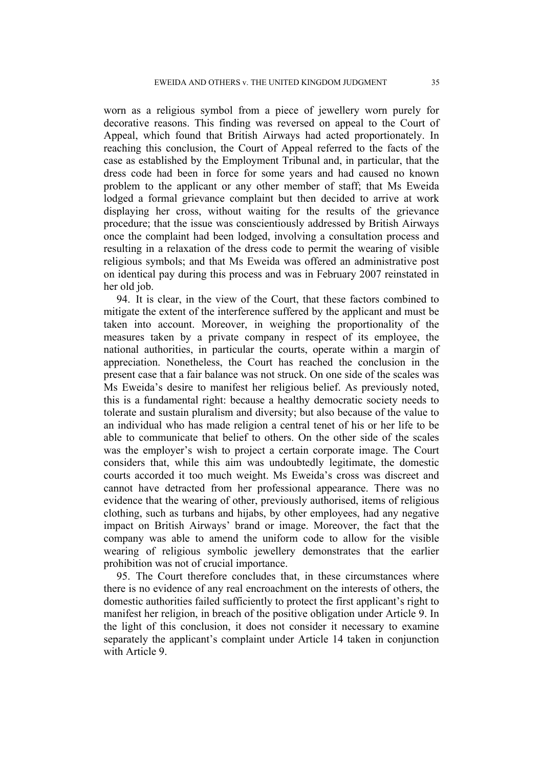worn as a religious symbol from a piece of jewellery worn purely for decorative reasons. This finding was reversed on appeal to the Court of Appeal, which found that British Airways had acted proportionately. In reaching this conclusion, the Court of Appeal referred to the facts of the case as established by the Employment Tribunal and, in particular, that the dress code had been in force for some years and had caused no known problem to the applicant or any other member of staff; that Ms Eweida lodged a formal grievance complaint but then decided to arrive at work displaying her cross, without waiting for the results of the grievance procedure; that the issue was conscientiously addressed by British Airways once the complaint had been lodged, involving a consultation process and resulting in a relaxation of the dress code to permit the wearing of visible religious symbols; and that Ms Eweida was offered an administrative post on identical pay during this process and was in February 2007 reinstated in her old job.

94. It is clear, in the view of the Court, that these factors combined to mitigate the extent of the interference suffered by the applicant and must be taken into account. Moreover, in weighing the proportionality of the measures taken by a private company in respect of its employee, the national authorities, in particular the courts, operate within a margin of appreciation. Nonetheless, the Court has reached the conclusion in the present case that a fair balance was not struck. On one side of the scales was Ms Eweida's desire to manifest her religious belief. As previously noted, this is a fundamental right: because a healthy democratic society needs to tolerate and sustain pluralism and diversity; but also because of the value to an individual who has made religion a central tenet of his or her life to be able to communicate that belief to others. On the other side of the scales was the employer's wish to project a certain corporate image. The Court considers that, while this aim was undoubtedly legitimate, the domestic courts accorded it too much weight. Ms Eweida's cross was discreet and cannot have detracted from her professional appearance. There was no evidence that the wearing of other, previously authorised, items of religious clothing, such as turbans and hijabs, by other employees, had any negative impact on British Airways' brand or image. Moreover, the fact that the company was able to amend the uniform code to allow for the visible wearing of religious symbolic jewellery demonstrates that the earlier prohibition was not of crucial importance.

95. The Court therefore concludes that, in these circumstances where there is no evidence of any real encroachment on the interests of others, the domestic authorities failed sufficiently to protect the first applicant's right to manifest her religion, in breach of the positive obligation under Article 9. In the light of this conclusion, it does not consider it necessary to examine separately the applicant's complaint under Article 14 taken in conjunction with Article 9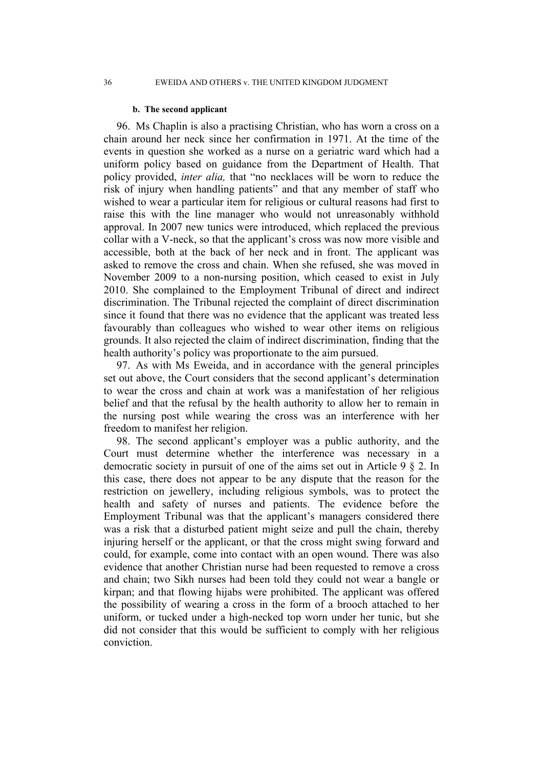#### **b. The second applicant**

96. Ms Chaplin is also a practising Christian, who has worn a cross on a chain around her neck since her confirmation in 1971. At the time of the events in question she worked as a nurse on a geriatric ward which had a uniform policy based on guidance from the Department of Health. That policy provided, *inter alia,* that "no necklaces will be worn to reduce the risk of injury when handling patients" and that any member of staff who wished to wear a particular item for religious or cultural reasons had first to raise this with the line manager who would not unreasonably withhold approval. In 2007 new tunics were introduced, which replaced the previous collar with a V-neck, so that the applicant's cross was now more visible and accessible, both at the back of her neck and in front. The applicant was asked to remove the cross and chain. When she refused, she was moved in November 2009 to a non-nursing position, which ceased to exist in July 2010. She complained to the Employment Tribunal of direct and indirect discrimination. The Tribunal rejected the complaint of direct discrimination since it found that there was no evidence that the applicant was treated less favourably than colleagues who wished to wear other items on religious grounds. It also rejected the claim of indirect discrimination, finding that the health authority's policy was proportionate to the aim pursued.

97. As with Ms Eweida, and in accordance with the general principles set out above, the Court considers that the second applicant's determination to wear the cross and chain at work was a manifestation of her religious belief and that the refusal by the health authority to allow her to remain in the nursing post while wearing the cross was an interference with her freedom to manifest her religion.

98. The second applicant's employer was a public authority, and the Court must determine whether the interference was necessary in a democratic society in pursuit of one of the aims set out in Article 9 § 2. In this case, there does not appear to be any dispute that the reason for the restriction on jewellery, including religious symbols, was to protect the health and safety of nurses and patients. The evidence before the Employment Tribunal was that the applicant's managers considered there was a risk that a disturbed patient might seize and pull the chain, thereby injuring herself or the applicant, or that the cross might swing forward and could, for example, come into contact with an open wound. There was also evidence that another Christian nurse had been requested to remove a cross and chain; two Sikh nurses had been told they could not wear a bangle or kirpan; and that flowing hijabs were prohibited. The applicant was offered the possibility of wearing a cross in the form of a brooch attached to her uniform, or tucked under a high-necked top worn under her tunic, but she did not consider that this would be sufficient to comply with her religious conviction.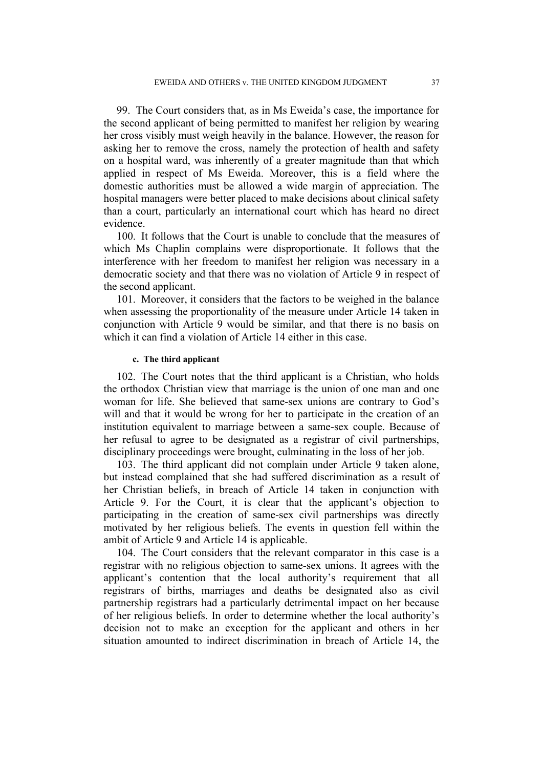99. The Court considers that, as in Ms Eweida's case, the importance for the second applicant of being permitted to manifest her religion by wearing her cross visibly must weigh heavily in the balance. However, the reason for asking her to remove the cross, namely the protection of health and safety on a hospital ward, was inherently of a greater magnitude than that which applied in respect of Ms Eweida. Moreover, this is a field where the domestic authorities must be allowed a wide margin of appreciation. The hospital managers were better placed to make decisions about clinical safety than a court, particularly an international court which has heard no direct evidence.

100. It follows that the Court is unable to conclude that the measures of which Ms Chaplin complains were disproportionate. It follows that the interference with her freedom to manifest her religion was necessary in a democratic society and that there was no violation of Article 9 in respect of the second applicant.

101. Moreover, it considers that the factors to be weighed in the balance when assessing the proportionality of the measure under Article 14 taken in conjunction with Article 9 would be similar, and that there is no basis on which it can find a violation of Article 14 either in this case.

#### **c. The third applicant**

102. The Court notes that the third applicant is a Christian, who holds the orthodox Christian view that marriage is the union of one man and one woman for life. She believed that same-sex unions are contrary to God's will and that it would be wrong for her to participate in the creation of an institution equivalent to marriage between a same-sex couple. Because of her refusal to agree to be designated as a registrar of civil partnerships, disciplinary proceedings were brought, culminating in the loss of her job.

103. The third applicant did not complain under Article 9 taken alone, but instead complained that she had suffered discrimination as a result of her Christian beliefs, in breach of Article 14 taken in conjunction with Article 9. For the Court, it is clear that the applicant's objection to participating in the creation of same-sex civil partnerships was directly motivated by her religious beliefs. The events in question fell within the ambit of Article 9 and Article 14 is applicable.

104. The Court considers that the relevant comparator in this case is a registrar with no religious objection to same-sex unions. It agrees with the applicant's contention that the local authority's requirement that all registrars of births, marriages and deaths be designated also as civil partnership registrars had a particularly detrimental impact on her because of her religious beliefs. In order to determine whether the local authority's decision not to make an exception for the applicant and others in her situation amounted to indirect discrimination in breach of Article 14, the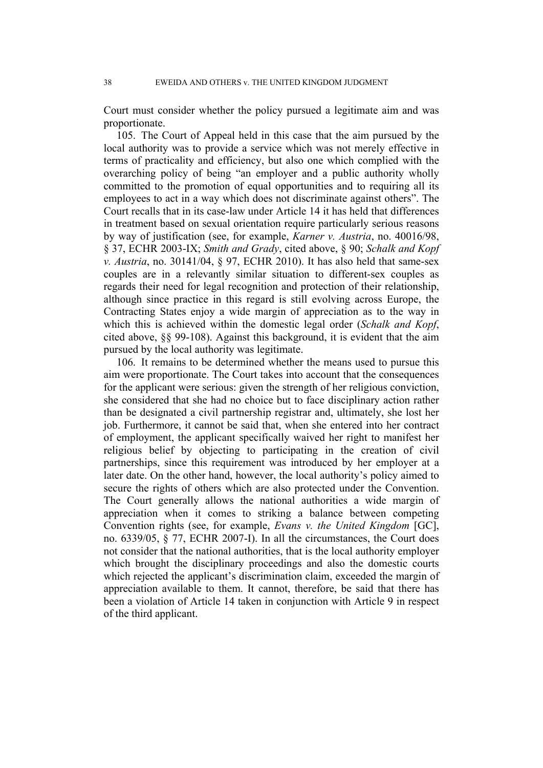Court must consider whether the policy pursued a legitimate aim and was proportionate.

105. The Court of Appeal held in this case that the aim pursued by the local authority was to provide a service which was not merely effective in terms of practicality and efficiency, but also one which complied with the overarching policy of being "an employer and a public authority wholly committed to the promotion of equal opportunities and to requiring all its employees to act in a way which does not discriminate against others". The Court recalls that in its case-law under Article 14 it has held that differences in treatment based on sexual orientation require particularly serious reasons by way of justification (see, for example, *Karner v. Austria*, no. 40016/98, § 37, ECHR 2003-IX; *Smith and Grady*, cited above, § 90; *Schalk and Kopf v. Austria*, no. 30141/04, § 97, ECHR 2010). It has also held that same-sex couples are in a relevantly similar situation to different-sex couples as regards their need for legal recognition and protection of their relationship, although since practice in this regard is still evolving across Europe, the Contracting States enjoy a wide margin of appreciation as to the way in which this is achieved within the domestic legal order (*Schalk and Kopf*, cited above, §§ 99-108). Against this background, it is evident that the aim pursued by the local authority was legitimate.

106. It remains to be determined whether the means used to pursue this aim were proportionate. The Court takes into account that the consequences for the applicant were serious: given the strength of her religious conviction, she considered that she had no choice but to face disciplinary action rather than be designated a civil partnership registrar and, ultimately, she lost her job. Furthermore, it cannot be said that, when she entered into her contract of employment, the applicant specifically waived her right to manifest her religious belief by objecting to participating in the creation of civil partnerships, since this requirement was introduced by her employer at a later date. On the other hand, however, the local authority's policy aimed to secure the rights of others which are also protected under the Convention. The Court generally allows the national authorities a wide margin of appreciation when it comes to striking a balance between competing Convention rights (see, for example, *Evans v. the United Kingdom* [GC], no. 6339/05, § 77, ECHR 2007-I). In all the circumstances, the Court does not consider that the national authorities, that is the local authority employer which brought the disciplinary proceedings and also the domestic courts which rejected the applicant's discrimination claim, exceeded the margin of appreciation available to them. It cannot, therefore, be said that there has been a violation of Article 14 taken in conjunction with Article 9 in respect of the third applicant.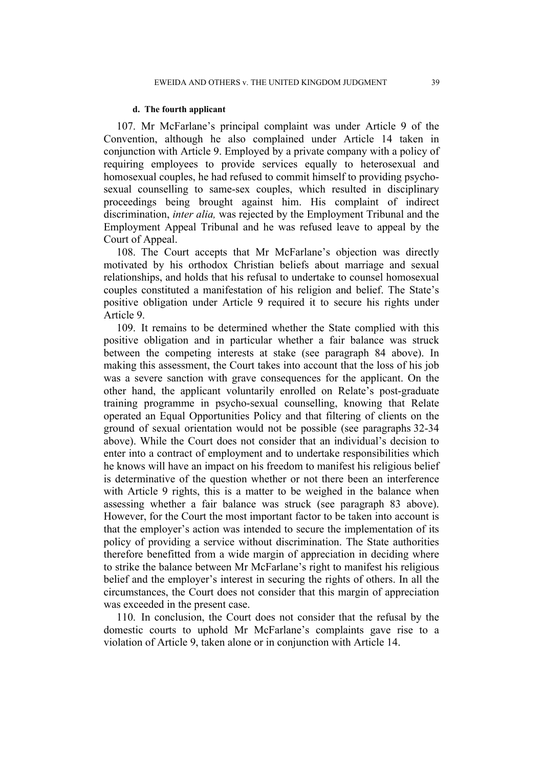#### **d. The fourth applicant**

107. Mr McFarlane's principal complaint was under Article 9 of the Convention, although he also complained under Article 14 taken in conjunction with Article 9. Employed by a private company with a policy of requiring employees to provide services equally to heterosexual and homosexual couples, he had refused to commit himself to providing psychosexual counselling to same-sex couples, which resulted in disciplinary proceedings being brought against him. His complaint of indirect discrimination, *inter alia,* was rejected by the Employment Tribunal and the Employment Appeal Tribunal and he was refused leave to appeal by the Court of Appeal.

108. The Court accepts that Mr McFarlane's objection was directly motivated by his orthodox Christian beliefs about marriage and sexual relationships, and holds that his refusal to undertake to counsel homosexual couples constituted a manifestation of his religion and belief. The State's positive obligation under Article 9 required it to secure his rights under Article 9.

109. It remains to be determined whether the State complied with this positive obligation and in particular whether a fair balance was struck between the competing interests at stake (see paragraph 84 above). In making this assessment, the Court takes into account that the loss of his job was a severe sanction with grave consequences for the applicant. On the other hand, the applicant voluntarily enrolled on Relate's post-graduate training programme in psycho-sexual counselling, knowing that Relate operated an Equal Opportunities Policy and that filtering of clients on the ground of sexual orientation would not be possible (see paragraphs 32-34 above). While the Court does not consider that an individual's decision to enter into a contract of employment and to undertake responsibilities which he knows will have an impact on his freedom to manifest his religious belief is determinative of the question whether or not there been an interference with Article 9 rights, this is a matter to be weighed in the balance when assessing whether a fair balance was struck (see paragraph 83 above). However, for the Court the most important factor to be taken into account is that the employer's action was intended to secure the implementation of its policy of providing a service without discrimination. The State authorities therefore benefitted from a wide margin of appreciation in deciding where to strike the balance between Mr McFarlane's right to manifest his religious belief and the employer's interest in securing the rights of others. In all the circumstances, the Court does not consider that this margin of appreciation was exceeded in the present case.

110. In conclusion, the Court does not consider that the refusal by the domestic courts to uphold Mr McFarlane's complaints gave rise to a violation of Article 9, taken alone or in conjunction with Article 14.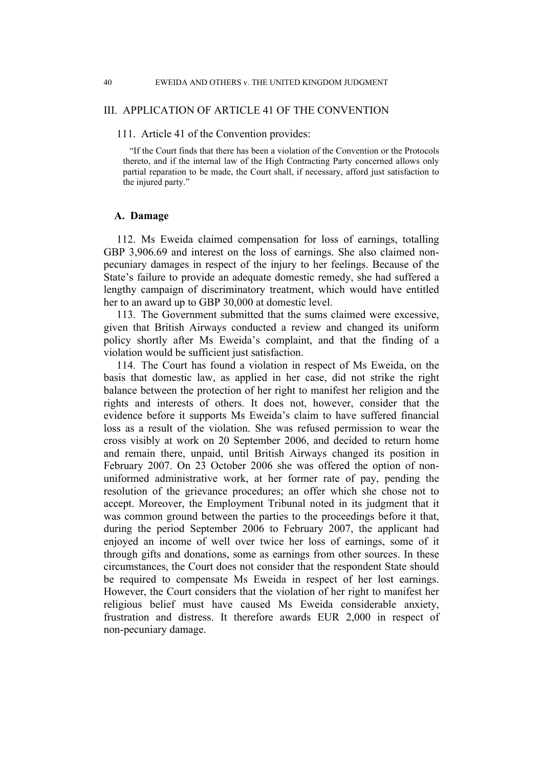### III. APPLICATION OF ARTICLE 41 OF THE CONVENTION

### 111. Article 41 of the Convention provides:

"If the Court finds that there has been a violation of the Convention or the Protocols thereto, and if the internal law of the High Contracting Party concerned allows only partial reparation to be made, the Court shall, if necessary, afford just satisfaction to the injured party."

### **A. Damage**

112. Ms Eweida claimed compensation for loss of earnings, totalling GBP 3,906.69 and interest on the loss of earnings. She also claimed nonpecuniary damages in respect of the injury to her feelings. Because of the State's failure to provide an adequate domestic remedy, she had suffered a lengthy campaign of discriminatory treatment, which would have entitled her to an award up to GBP 30,000 at domestic level.

113. The Government submitted that the sums claimed were excessive, given that British Airways conducted a review and changed its uniform policy shortly after Ms Eweida's complaint, and that the finding of a violation would be sufficient just satisfaction.

114. The Court has found a violation in respect of Ms Eweida, on the basis that domestic law, as applied in her case, did not strike the right balance between the protection of her right to manifest her religion and the rights and interests of others. It does not, however, consider that the evidence before it supports Ms Eweida's claim to have suffered financial loss as a result of the violation. She was refused permission to wear the cross visibly at work on 20 September 2006, and decided to return home and remain there, unpaid, until British Airways changed its position in February 2007. On 23 October 2006 she was offered the option of nonuniformed administrative work, at her former rate of pay, pending the resolution of the grievance procedures; an offer which she chose not to accept. Moreover, the Employment Tribunal noted in its judgment that it was common ground between the parties to the proceedings before it that, during the period September 2006 to February 2007, the applicant had enjoyed an income of well over twice her loss of earnings, some of it through gifts and donations, some as earnings from other sources. In these circumstances, the Court does not consider that the respondent State should be required to compensate Ms Eweida in respect of her lost earnings. However, the Court considers that the violation of her right to manifest her religious belief must have caused Ms Eweida considerable anxiety, frustration and distress. It therefore awards EUR 2,000 in respect of non-pecuniary damage.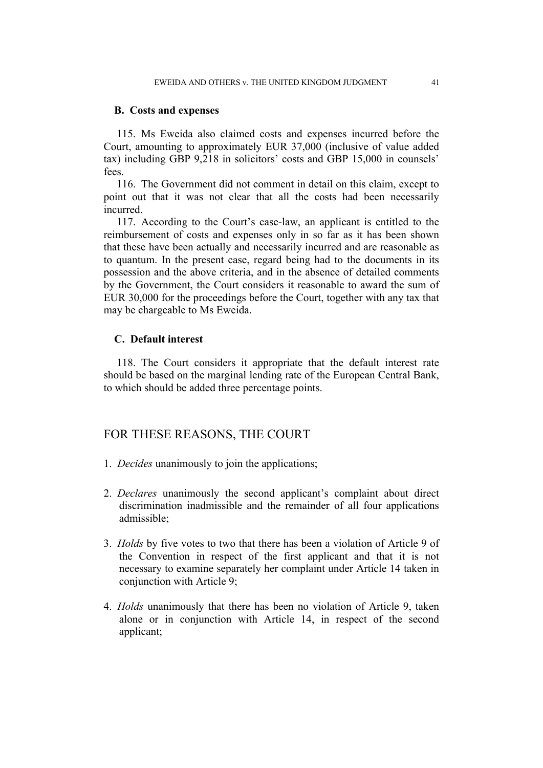## **B. Costs and expenses**

115. Ms Eweida also claimed costs and expenses incurred before the Court, amounting to approximately EUR 37,000 (inclusive of value added tax) including GBP 9,218 in solicitors' costs and GBP 15,000 in counsels' fees.

116. The Government did not comment in detail on this claim, except to point out that it was not clear that all the costs had been necessarily incurred.

117. According to the Court's case-law, an applicant is entitled to the reimbursement of costs and expenses only in so far as it has been shown that these have been actually and necessarily incurred and are reasonable as to quantum. In the present case, regard being had to the documents in its possession and the above criteria, and in the absence of detailed comments by the Government, the Court considers it reasonable to award the sum of EUR 30,000 for the proceedings before the Court, together with any tax that may be chargeable to Ms Eweida.

## **C. Default interest**

118. The Court considers it appropriate that the default interest rate should be based on the marginal lending rate of the European Central Bank, to which should be added three percentage points.

## FOR THESE REASONS, THE COURT

- 1. *Decides* unanimously to join the applications;
- 2. *Declares* unanimously the second applicant's complaint about direct discrimination inadmissible and the remainder of all four applications admissible;
- 3. *Holds* by five votes to two that there has been a violation of Article 9 of the Convention in respect of the first applicant and that it is not necessary to examine separately her complaint under Article 14 taken in conjunction with Article 9;
- 4. *Holds* unanimously that there has been no violation of Article 9, taken alone or in conjunction with Article 14, in respect of the second applicant;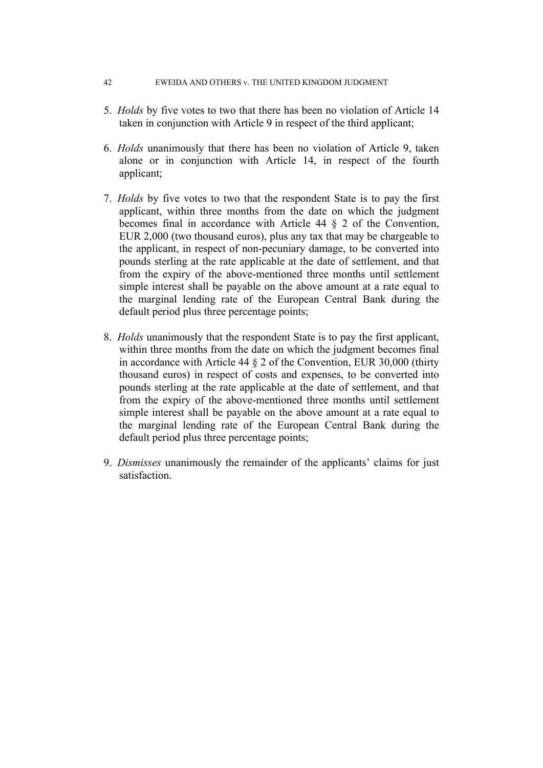## 42 EWEIDA AND OTHERS v. THE UNITED KINGDOM JUDGMENT

- 5. *Holds* by five votes to two that there has been no violation of Article 14 taken in conjunction with Article 9 in respect of the third applicant;
- 6. *Holds* unanimously that there has been no violation of Article 9, taken alone or in conjunction with Article 14, in respect of the fourth applicant;
- 7. *Holds* by five votes to two that the respondent State is to pay the first applicant, within three months from the date on which the judgment becomes final in accordance with Article 44 § 2 of the Convention, EUR 2,000 (two thousand euros), plus any tax that may be chargeable to the applicant, in respect of non-pecuniary damage, to be converted into pounds sterling at the rate applicable at the date of settlement, and that from the expiry of the above-mentioned three months until settlement simple interest shall be payable on the above amount at a rate equal to the marginal lending rate of the European Central Bank during the default period plus three percentage points;
- 8. *Holds* unanimously that the respondent State is to pay the first applicant, within three months from the date on which the judgment becomes final in accordance with Article 44 § 2 of the Convention, EUR 30,000 (thirty thousand euros) in respect of costs and expenses, to be converted into pounds sterling at the rate applicable at the date of settlement, and that from the expiry of the above-mentioned three months until settlement simple interest shall be payable on the above amount at a rate equal to the marginal lending rate of the European Central Bank during the default period plus three percentage points;
- 9. *Dismisses* unanimously the remainder of the applicants' claims for just satisfaction.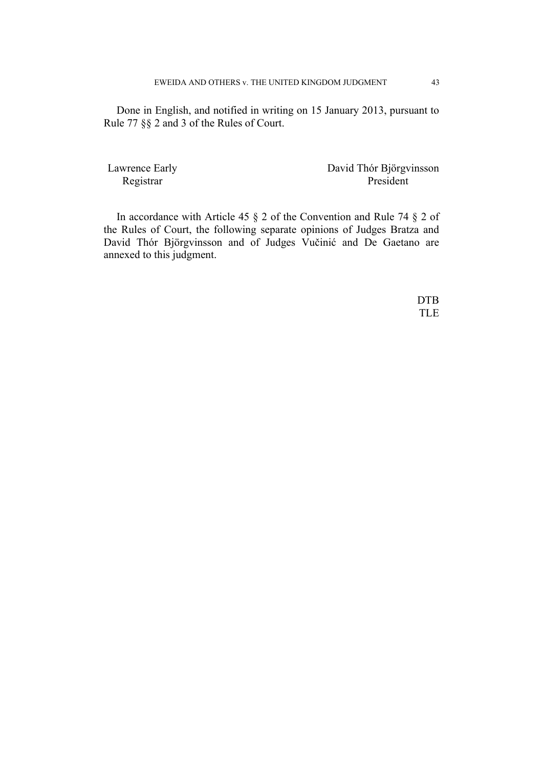Done in English, and notified in writing on 15 January 2013, pursuant to Rule 77 §§ 2 and 3 of the Rules of Court.

Lawrence Early David Thór Björgvinsson Registrar President

In accordance with Article 45 § 2 of the Convention and Rule 74 § 2 of the Rules of Court, the following separate opinions of Judges Bratza and David Thór Björgvinsson and of Judges Vučinić and De Gaetano are annexed to this judgment.

> DTB TLE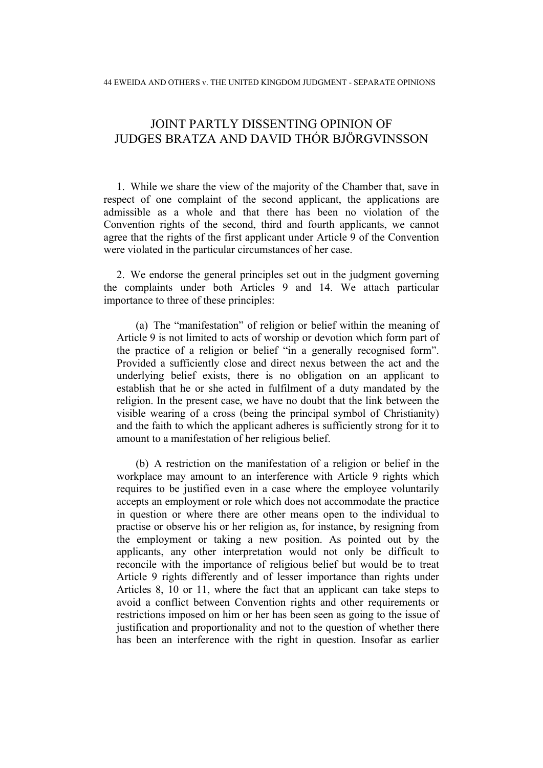44 EWEIDA AND OTHERS v. THE UNITED KINGDOM JUDGMENT - SEPARATE OPINIONS

## JOINT PARTLY DISSENTING OPINION OF JUDGES BRATZA AND DAVID THÓR BJÖRGVINSSON

1. While we share the view of the majority of the Chamber that, save in respect of one complaint of the second applicant, the applications are admissible as a whole and that there has been no violation of the Convention rights of the second, third and fourth applicants, we cannot agree that the rights of the first applicant under Article 9 of the Convention were violated in the particular circumstances of her case.

2. We endorse the general principles set out in the judgment governing the complaints under both Articles 9 and 14. We attach particular importance to three of these principles:

(a) The "manifestation" of religion or belief within the meaning of Article 9 is not limited to acts of worship or devotion which form part of the practice of a religion or belief "in a generally recognised form". Provided a sufficiently close and direct nexus between the act and the underlying belief exists, there is no obligation on an applicant to establish that he or she acted in fulfilment of a duty mandated by the religion. In the present case, we have no doubt that the link between the visible wearing of a cross (being the principal symbol of Christianity) and the faith to which the applicant adheres is sufficiently strong for it to amount to a manifestation of her religious belief.

(b) A restriction on the manifestation of a religion or belief in the workplace may amount to an interference with Article 9 rights which requires to be justified even in a case where the employee voluntarily accepts an employment or role which does not accommodate the practice in question or where there are other means open to the individual to practise or observe his or her religion as, for instance, by resigning from the employment or taking a new position. As pointed out by the applicants, any other interpretation would not only be difficult to reconcile with the importance of religious belief but would be to treat Article 9 rights differently and of lesser importance than rights under Articles 8, 10 or 11, where the fact that an applicant can take steps to avoid a conflict between Convention rights and other requirements or restrictions imposed on him or her has been seen as going to the issue of justification and proportionality and not to the question of whether there has been an interference with the right in question. Insofar as earlier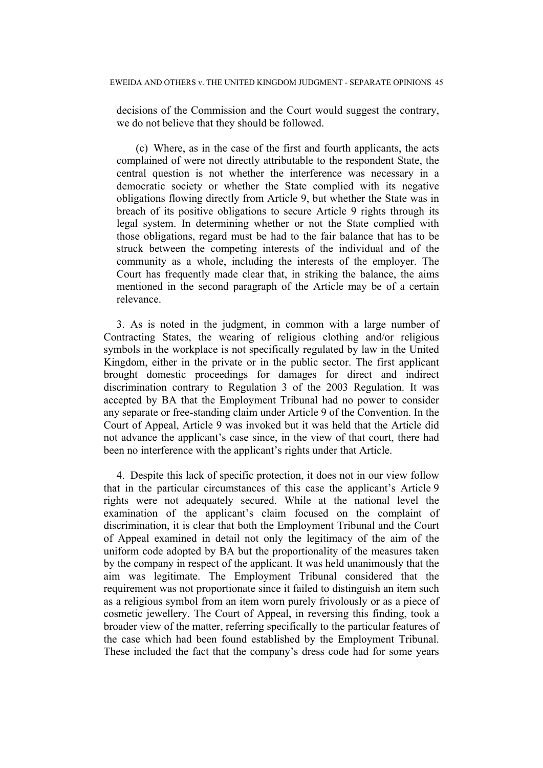decisions of the Commission and the Court would suggest the contrary, we do not believe that they should be followed.

(c) Where, as in the case of the first and fourth applicants, the acts complained of were not directly attributable to the respondent State, the central question is not whether the interference was necessary in a democratic society or whether the State complied with its negative obligations flowing directly from Article 9, but whether the State was in breach of its positive obligations to secure Article 9 rights through its legal system. In determining whether or not the State complied with those obligations, regard must be had to the fair balance that has to be struck between the competing interests of the individual and of the community as a whole, including the interests of the employer. The Court has frequently made clear that, in striking the balance, the aims mentioned in the second paragraph of the Article may be of a certain relevance.

3. As is noted in the judgment, in common with a large number of Contracting States, the wearing of religious clothing and/or religious symbols in the workplace is not specifically regulated by law in the United Kingdom, either in the private or in the public sector. The first applicant brought domestic proceedings for damages for direct and indirect discrimination contrary to Regulation 3 of the 2003 Regulation. It was accepted by BA that the Employment Tribunal had no power to consider any separate or free-standing claim under Article 9 of the Convention. In the Court of Appeal, Article 9 was invoked but it was held that the Article did not advance the applicant's case since, in the view of that court, there had been no interference with the applicant's rights under that Article.

4. Despite this lack of specific protection, it does not in our view follow that in the particular circumstances of this case the applicant's Article 9 rights were not adequately secured. While at the national level the examination of the applicant's claim focused on the complaint of discrimination, it is clear that both the Employment Tribunal and the Court of Appeal examined in detail not only the legitimacy of the aim of the uniform code adopted by BA but the proportionality of the measures taken by the company in respect of the applicant. It was held unanimously that the aim was legitimate. The Employment Tribunal considered that the requirement was not proportionate since it failed to distinguish an item such as a religious symbol from an item worn purely frivolously or as a piece of cosmetic jewellery. The Court of Appeal, in reversing this finding, took a broader view of the matter, referring specifically to the particular features of the case which had been found established by the Employment Tribunal. These included the fact that the company's dress code had for some years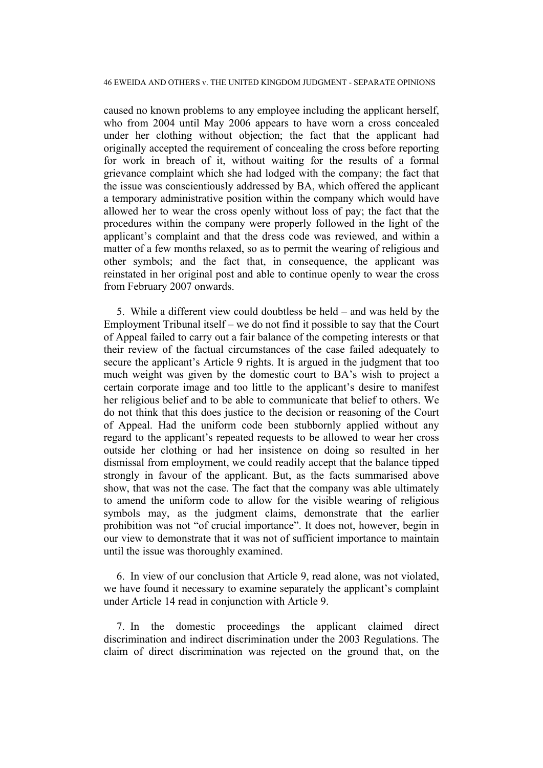#### 46 EWEIDA AND OTHERS v. THE UNITED KINGDOM JUDGMENT - SEPARATE OPINIONS

caused no known problems to any employee including the applicant herself, who from 2004 until May 2006 appears to have worn a cross concealed under her clothing without objection; the fact that the applicant had originally accepted the requirement of concealing the cross before reporting for work in breach of it, without waiting for the results of a formal grievance complaint which she had lodged with the company; the fact that the issue was conscientiously addressed by BA, which offered the applicant a temporary administrative position within the company which would have allowed her to wear the cross openly without loss of pay; the fact that the procedures within the company were properly followed in the light of the applicant's complaint and that the dress code was reviewed, and within a matter of a few months relaxed, so as to permit the wearing of religious and other symbols; and the fact that, in consequence, the applicant was reinstated in her original post and able to continue openly to wear the cross from February 2007 onwards.

5. While a different view could doubtless be held – and was held by the Employment Tribunal itself – we do not find it possible to say that the Court of Appeal failed to carry out a fair balance of the competing interests or that their review of the factual circumstances of the case failed adequately to secure the applicant's Article 9 rights. It is argued in the judgment that too much weight was given by the domestic court to BA's wish to project a certain corporate image and too little to the applicant's desire to manifest her religious belief and to be able to communicate that belief to others. We do not think that this does justice to the decision or reasoning of the Court of Appeal. Had the uniform code been stubbornly applied without any regard to the applicant's repeated requests to be allowed to wear her cross outside her clothing or had her insistence on doing so resulted in her dismissal from employment, we could readily accept that the balance tipped strongly in favour of the applicant. But, as the facts summarised above show, that was not the case. The fact that the company was able ultimately to amend the uniform code to allow for the visible wearing of religious symbols may, as the judgment claims, demonstrate that the earlier prohibition was not "of crucial importance". It does not, however, begin in our view to demonstrate that it was not of sufficient importance to maintain until the issue was thoroughly examined.

6. In view of our conclusion that Article 9, read alone, was not violated, we have found it necessary to examine separately the applicant's complaint under Article 14 read in conjunction with Article 9.

7. In the domestic proceedings the applicant claimed direct discrimination and indirect discrimination under the 2003 Regulations. The claim of direct discrimination was rejected on the ground that, on the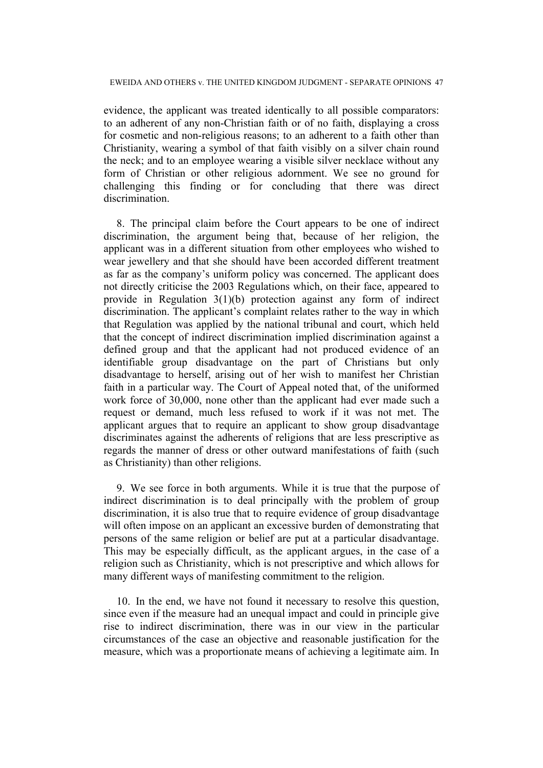evidence, the applicant was treated identically to all possible comparators: to an adherent of any non-Christian faith or of no faith, displaying a cross for cosmetic and non-religious reasons; to an adherent to a faith other than Christianity, wearing a symbol of that faith visibly on a silver chain round the neck; and to an employee wearing a visible silver necklace without any form of Christian or other religious adornment. We see no ground for challenging this finding or for concluding that there was direct discrimination.

8. The principal claim before the Court appears to be one of indirect discrimination, the argument being that, because of her religion, the applicant was in a different situation from other employees who wished to wear jewellery and that she should have been accorded different treatment as far as the company's uniform policy was concerned. The applicant does not directly criticise the 2003 Regulations which, on their face, appeared to provide in Regulation 3(1)(b) protection against any form of indirect discrimination. The applicant's complaint relates rather to the way in which that Regulation was applied by the national tribunal and court, which held that the concept of indirect discrimination implied discrimination against a defined group and that the applicant had not produced evidence of an identifiable group disadvantage on the part of Christians but only disadvantage to herself, arising out of her wish to manifest her Christian faith in a particular way. The Court of Appeal noted that, of the uniformed work force of 30,000, none other than the applicant had ever made such a request or demand, much less refused to work if it was not met. The applicant argues that to require an applicant to show group disadvantage discriminates against the adherents of religions that are less prescriptive as regards the manner of dress or other outward manifestations of faith (such as Christianity) than other religions.

9. We see force in both arguments. While it is true that the purpose of indirect discrimination is to deal principally with the problem of group discrimination, it is also true that to require evidence of group disadvantage will often impose on an applicant an excessive burden of demonstrating that persons of the same religion or belief are put at a particular disadvantage. This may be especially difficult, as the applicant argues, in the case of a religion such as Christianity, which is not prescriptive and which allows for many different ways of manifesting commitment to the religion.

10. In the end, we have not found it necessary to resolve this question, since even if the measure had an unequal impact and could in principle give rise to indirect discrimination, there was in our view in the particular circumstances of the case an objective and reasonable justification for the measure, which was a proportionate means of achieving a legitimate aim. In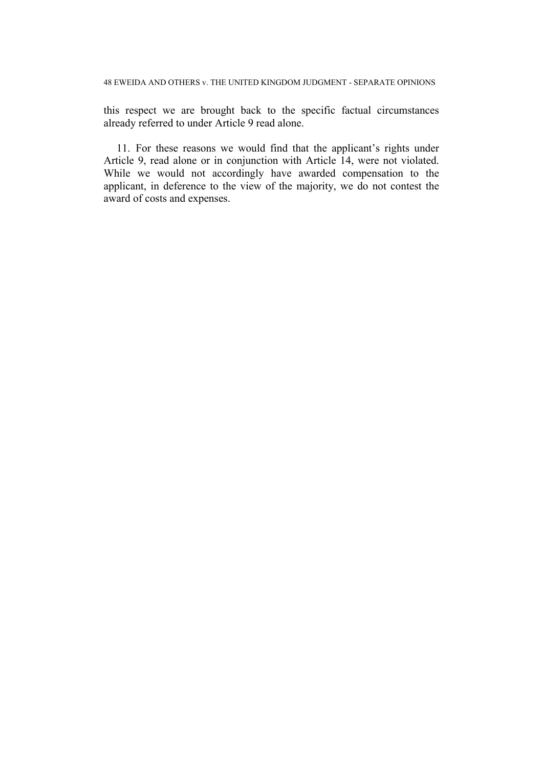#### 48 EWEIDA AND OTHERS v. THE UNITED KINGDOM JUDGMENT - SEPARATE OPINIONS

this respect we are brought back to the specific factual circumstances already referred to under Article 9 read alone.

11. For these reasons we would find that the applicant's rights under Article 9, read alone or in conjunction with Article 14, were not violated. While we would not accordingly have awarded compensation to the applicant, in deference to the view of the majority, we do not contest the award of costs and expenses.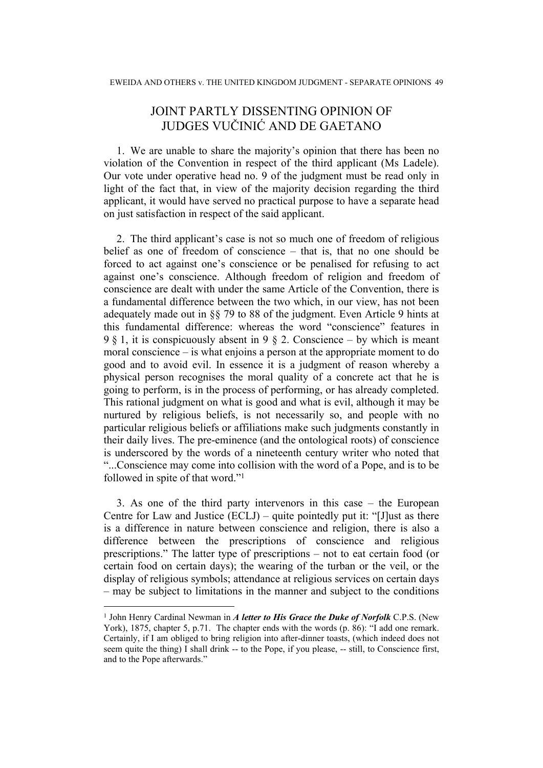## JOINT PARTLY DISSENTING OPINION OF JUDGES VUČINIĆ AND DE GAETANO

1. We are unable to share the majority's opinion that there has been no violation of the Convention in respect of the third applicant (Ms Ladele). Our vote under operative head no. 9 of the judgment must be read only in light of the fact that, in view of the majority decision regarding the third applicant, it would have served no practical purpose to have a separate head on just satisfaction in respect of the said applicant.

2. The third applicant's case is not so much one of freedom of religious belief as one of freedom of conscience – that is, that no one should be forced to act against one's conscience or be penalised for refusing to act against one's conscience. Although freedom of religion and freedom of conscience are dealt with under the same Article of the Convention, there is a fundamental difference between the two which, in our view, has not been adequately made out in §§ 79 to 88 of the judgment. Even Article 9 hints at this fundamental difference: whereas the word "conscience" features in 9  $\S$  1, it is conspicuously absent in 9  $\S$  2. Conscience – by which is meant moral conscience – is what enjoins a person at the appropriate moment to do good and to avoid evil. In essence it is a judgment of reason whereby a physical person recognises the moral quality of a concrete act that he is going to perform, is in the process of performing, or has already completed. This rational judgment on what is good and what is evil, although it may be nurtured by religious beliefs, is not necessarily so, and people with no particular religious beliefs or affiliations make such judgments constantly in their daily lives. The pre-eminence (and the ontological roots) of conscience is underscored by the words of a nineteenth century writer who noted that "...Conscience may come into collision with the word of a Pope, and is to be followed in spite of that word."<sup>1</sup>

3. As one of the third party intervenors in this case – the European Centre for Law and Justice  $(ECLJ)$  – quite pointedly put it: "[J]ust as there is a difference in nature between conscience and religion, there is also a difference between the prescriptions of conscience and religious prescriptions." The latter type of prescriptions – not to eat certain food (or certain food on certain days); the wearing of the turban or the veil, or the display of religious symbols; attendance at religious services on certain days – may be subject to limitations in the manner and subject to the conditions

<sup>1</sup> John Henry Cardinal Newman in *A letter to His Grace the Duke of Norfolk* C.P.S. (New York), 1875, chapter 5, p.71. The chapter ends with the words (p. 86): "I add one remark. Certainly, if I am obliged to bring religion into after-dinner toasts, (which indeed does not seem quite the thing) I shall drink -- to the Pope, if you please, -- still, to Conscience first, and to the Pope afterwards."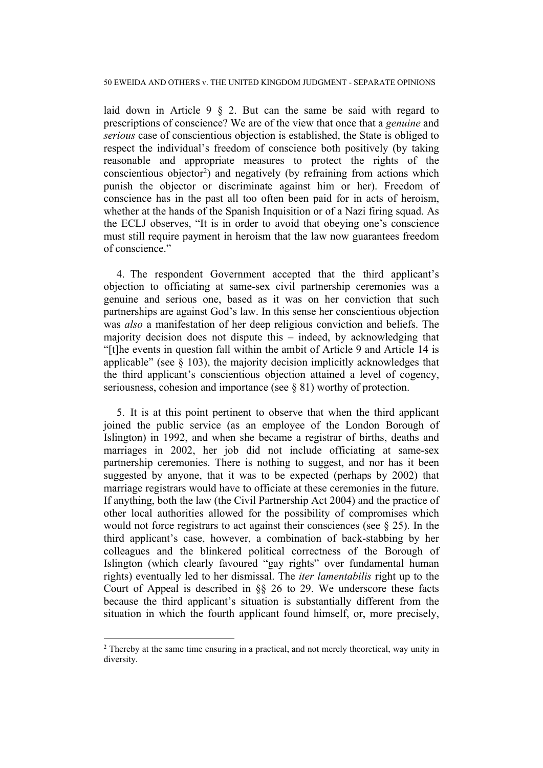#### 50 EWEIDA AND OTHERS v. THE UNITED KINGDOM JUDGMENT - SEPARATE OPINIONS

laid down in Article 9 § 2. But can the same be said with regard to prescriptions of conscience? We are of the view that once that a *genuine* and *serious* case of conscientious objection is established, the State is obliged to respect the individual's freedom of conscience both positively (by taking reasonable and appropriate measures to protect the rights of the conscientious objector<sup>2</sup>) and negatively (by refraining from actions which punish the objector or discriminate against him or her). Freedom of conscience has in the past all too often been paid for in acts of heroism, whether at the hands of the Spanish Inquisition or of a Nazi firing squad. As the ECLJ observes, "It is in order to avoid that obeying one's conscience must still require payment in heroism that the law now guarantees freedom of conscience."

4. The respondent Government accepted that the third applicant's objection to officiating at same-sex civil partnership ceremonies was a genuine and serious one, based as it was on her conviction that such partnerships are against God's law. In this sense her conscientious objection was *also* a manifestation of her deep religious conviction and beliefs. The majority decision does not dispute this – indeed, by acknowledging that "[t]he events in question fall within the ambit of Article 9 and Article 14 is applicable" (see § 103), the majority decision implicitly acknowledges that the third applicant's conscientious objection attained a level of cogency, seriousness, cohesion and importance (see § 81) worthy of protection.

5. It is at this point pertinent to observe that when the third applicant joined the public service (as an employee of the London Borough of Islington) in 1992, and when she became a registrar of births, deaths and marriages in 2002, her job did not include officiating at same-sex partnership ceremonies. There is nothing to suggest, and nor has it been suggested by anyone, that it was to be expected (perhaps by 2002) that marriage registrars would have to officiate at these ceremonies in the future. If anything, both the law (the Civil Partnership Act 2004) and the practice of other local authorities allowed for the possibility of compromises which would not force registrars to act against their consciences (see  $\S$  25). In the third applicant's case, however, a combination of back-stabbing by her colleagues and the blinkered political correctness of the Borough of Islington (which clearly favoured "gay rights" over fundamental human rights) eventually led to her dismissal. The *iter lamentabilis* right up to the Court of Appeal is described in §§ 26 to 29. We underscore these facts because the third applicant's situation is substantially different from the situation in which the fourth applicant found himself, or, more precisely,

<sup>2</sup> Thereby at the same time ensuring in a practical, and not merely theoretical, way unity in diversity.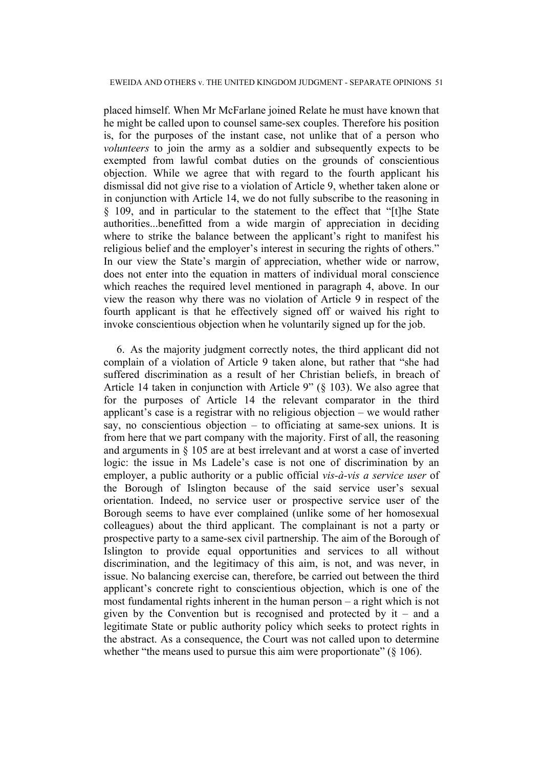placed himself. When Mr McFarlane joined Relate he must have known that he might be called upon to counsel same-sex couples. Therefore his position is, for the purposes of the instant case, not unlike that of a person who *volunteers* to join the army as a soldier and subsequently expects to be exempted from lawful combat duties on the grounds of conscientious objection. While we agree that with regard to the fourth applicant his dismissal did not give rise to a violation of Article 9, whether taken alone or in conjunction with Article 14, we do not fully subscribe to the reasoning in § 109, and in particular to the statement to the effect that "[t]he State authorities...benefitted from a wide margin of appreciation in deciding where to strike the balance between the applicant's right to manifest his religious belief and the employer's interest in securing the rights of others." In our view the State's margin of appreciation, whether wide or narrow, does not enter into the equation in matters of individual moral conscience which reaches the required level mentioned in paragraph 4, above. In our view the reason why there was no violation of Article 9 in respect of the fourth applicant is that he effectively signed off or waived his right to invoke conscientious objection when he voluntarily signed up for the job.

6. As the majority judgment correctly notes, the third applicant did not complain of a violation of Article 9 taken alone, but rather that "she had suffered discrimination as a result of her Christian beliefs, in breach of Article 14 taken in conjunction with Article 9" (§ 103). We also agree that for the purposes of Article 14 the relevant comparator in the third applicant's case is a registrar with no religious objection – we would rather say, no conscientious objection  $-$  to officiating at same-sex unions. It is from here that we part company with the majority. First of all, the reasoning and arguments in § 105 are at best irrelevant and at worst a case of inverted logic: the issue in Ms Ladele's case is not one of discrimination by an employer, a public authority or a public official *vis-à-vis a service user* of the Borough of Islington because of the said service user's sexual orientation. Indeed, no service user or prospective service user of the Borough seems to have ever complained (unlike some of her homosexual colleagues) about the third applicant. The complainant is not a party or prospective party to a same-sex civil partnership. The aim of the Borough of Islington to provide equal opportunities and services to all without discrimination, and the legitimacy of this aim, is not, and was never, in issue. No balancing exercise can, therefore, be carried out between the third applicant's concrete right to conscientious objection, which is one of the most fundamental rights inherent in the human person – a right which is not given by the Convention but is recognised and protected by it – and a legitimate State or public authority policy which seeks to protect rights in the abstract. As a consequence, the Court was not called upon to determine whether "the means used to pursue this aim were proportionate"  $(\S 106)$ .